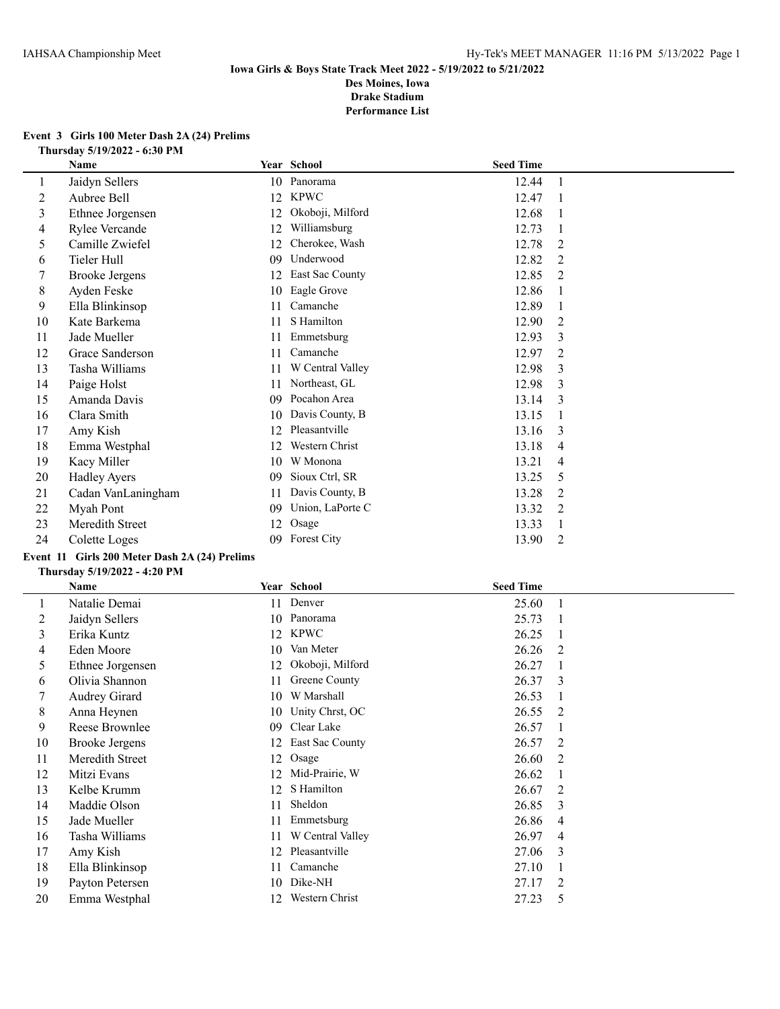#### **Event 3 Girls 100 Meter Dash 2A (24) Prelims Thursday 5/19/2022 - 6:30 PM**

|    | Name                  |    | Year School        | <b>Seed Time</b> |                |
|----|-----------------------|----|--------------------|------------------|----------------|
| 1  | Jaidyn Sellers        | 10 | Panorama           | 12.44            |                |
| 2  | Aubree Bell           | 12 | <b>KPWC</b>        | 12.47            |                |
| 3  | Ethnee Jorgensen      | 12 | Okoboji, Milford   | 12.68            |                |
| 4  | Rylee Vercande        | 12 | Williamsburg       | 12.73            |                |
| 5  | Camille Zwiefel       | 12 | Cherokee, Wash     | 12.78            | 2              |
| 6  | Tieler Hull           | 09 | Underwood          | 12.82            | 2              |
|    | <b>Brooke Jergens</b> | 12 | East Sac County    | 12.85            | 2              |
| 8  | Ayden Feske           | 10 | Eagle Grove        | 12.86            |                |
| 9  | Ella Blinkinsop       | 11 | Camanche           | 12.89            |                |
| 10 | Kate Barkema          | 11 | S Hamilton         | 12.90            | 2              |
| 11 | Jade Mueller          | 11 | Emmetsburg         | 12.93            | 3              |
| 12 | Grace Sanderson       | 11 | Camanche           | 12.97            | 2              |
| 13 | Tasha Williams        | 11 | W Central Valley   | 12.98            | 3              |
| 14 | Paige Holst           | 11 | Northeast, GL      | 12.98            | 3              |
| 15 | Amanda Davis          | 09 | Pocahon Area       | 13.14            | 3              |
| 16 | Clara Smith           | 10 | Davis County, B    | 13.15            |                |
| 17 | Amy Kish              | 12 | Pleasantville      | 13.16            | 3              |
| 18 | Emma Westphal         | 12 | Western Christ     | 13.18            | 4              |
| 19 | Kacy Miller           | 10 | W Monona           | 13.21            | 4              |
| 20 | <b>Hadley Ayers</b>   | 09 | Sioux Ctrl, SR     | 13.25            | 5              |
| 21 | Cadan VanLaningham    | 11 | Davis County, B    | 13.28            | $\overline{2}$ |
| 22 | Myah Pont             | 09 | Union, LaPorte C   | 13.32            | 2              |
| 23 | Meredith Street       | 12 | Osage              | 13.33            |                |
| 24 | Colette Loges         | 09 | <b>Forest City</b> | 13.90            | 2              |

## **Event 11 Girls 200 Meter Dash 2A (24) Prelims**

#### **Thursday 5/19/2022 - 4:20 PM**

|    | Name                  |    | Year School      | <b>Seed Time</b> |                |
|----|-----------------------|----|------------------|------------------|----------------|
|    | Natalie Demai         |    | 11 Denver        | 25.60            |                |
| 2  | Jaidyn Sellers        | 10 | Panorama         | 25.73            |                |
| 3  | Erika Kuntz           | 12 | <b>KPWC</b>      | 26.25            |                |
| 4  | Eden Moore            | 10 | Van Meter        | 26.26            | 2              |
| 5  | Ethnee Jorgensen      | 12 | Okoboji, Milford | 26.27            |                |
| 6  | Olivia Shannon        | 11 | Greene County    | 26.37            | 3              |
| 7  | Audrey Girard         | 10 | W Marshall       | 26.53            |                |
| 8  | Anna Heynen           | 10 | Unity Chrst, OC  | 26.55            | 2              |
| 9  | Reese Brownlee        | 09 | Clear Lake       | 26.57            |                |
| 10 | <b>Brooke Jergens</b> | 12 | East Sac County  | 26.57            | 2              |
| 11 | Meredith Street       | 12 | Osage            | 26.60            | $\overline{2}$ |
| 12 | Mitzi Evans           | 12 | Mid-Prairie, W   | 26.62            |                |
| 13 | Kelbe Krumm           | 12 | S Hamilton       | 26.67            | 2              |
| 14 | Maddie Olson          | 11 | Sheldon          | 26.85            | 3              |
| 15 | Jade Mueller          | 11 | Emmetsburg       | 26.86            | 4              |
| 16 | Tasha Williams        | 11 | W Central Valley | 26.97            | 4              |
| 17 | Amy Kish              | 12 | Pleasantville    | 27.06            | 3              |
| 18 | Ella Blinkinsop       | 11 | Camanche         | 27.10            |                |
| 19 | Payton Petersen       | 10 | Dike-NH          | 27.17            | 2              |
| 20 | Emma Westphal         | 12 | Western Christ   | 27.23            | 5              |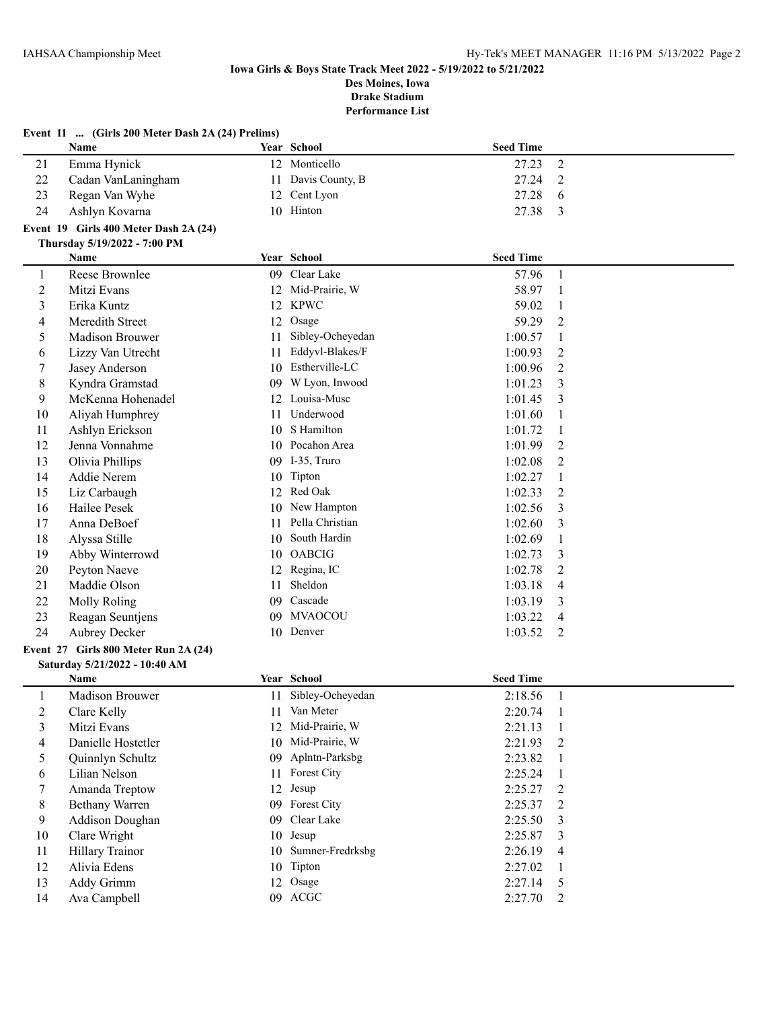|                | Event 11  (Girls 200 Meter Dash 2A (24) Prelims) |    |                     |                  |                |
|----------------|--------------------------------------------------|----|---------------------|------------------|----------------|
|                | Name                                             |    | Year School         | <b>Seed Time</b> |                |
| 21             | Emma Hynick                                      |    | 12 Monticello       | 27.23            | $\overline{2}$ |
| 22             | Cadan VanLaningham                               | 11 | Davis County, B     | 27.24            | 2              |
| 23             | Regan Van Wyhe                                   | 12 | Cent Lyon           | 27.28            | 6              |
| 24             | Ashlyn Kovarna                                   |    | 10 Hinton           | 27.38            | 3              |
|                | Event 19 Girls 400 Meter Dash 2A (24)            |    |                     |                  |                |
|                | Thursday 5/19/2022 - 7:00 PM                     |    |                     |                  |                |
|                | Name                                             |    | Year School         | <b>Seed Time</b> |                |
| $\mathbf{1}$   | Reese Brownlee                                   |    | 09 Clear Lake       | 57.96            | $\mathbf{1}$   |
| $\sqrt{2}$     | Mitzi Evans                                      |    | 12 Mid-Prairie, W   | 58.97            | $\mathbf{1}$   |
| 3              | Erika Kuntz                                      | 12 | <b>KPWC</b>         | 59.02            | 1              |
| 4              | Meredith Street                                  | 12 | Osage               | 59.29            | $\overline{2}$ |
| 5              | Madison Brouwer                                  | 11 | Sibley-Ocheyedan    | 1:00.57          | 1              |
| 6              | Lizzy Van Utrecht                                | 11 | Eddyvl-Blakes/F     | 1:00.93          | 2              |
| 7              | Jasey Anderson                                   |    | 10 Estherville-LC   | 1:00.96          | $\overline{2}$ |
| $\,8\,$        | Kyndra Gramstad                                  |    | 09 W Lyon, Inwood   | 1:01.23          | 3              |
| 9              | McKenna Hohenadel                                |    | 12 Louisa-Musc      | 1:01.45          | 3              |
| 10             | Aliyah Humphrey                                  | 11 | Underwood           | 1:01.60          |                |
| 11             | Ashlyn Erickson                                  | 10 | S Hamilton          | 1:01.72          | -1             |
| 12             | Jenna Vonnahme                                   |    | 10 Pocahon Area     | 1:01.99          | 2              |
| 13             | Olivia Phillips                                  |    | 09 I-35, Truro      | 1:02.08          | 2              |
| 14             | Addie Nerem                                      | 10 | Tipton              | 1:02.27          | -1             |
| 15             | Liz Carbaugh                                     | 12 | Red Oak             | 1:02.33          | 2              |
| 16             | Hailee Pesek                                     |    | 10 New Hampton      | 1:02.56          | 3              |
| 17             | Anna DeBoef                                      | 11 | Pella Christian     | 1:02.60          | 3              |
| 18             | Alyssa Stille                                    | 10 | South Hardin        | 1:02.69          |                |
| 19             | Abby Winterrowd                                  | 10 | <b>OABCIG</b>       | 1:02.73          | 3              |
| 20             | Peyton Naeve                                     | 12 | Regina, IC          | 1:02.78          | 2              |
| 21             | Maddie Olson                                     | 11 | Sheldon             | 1:03.18          | 4              |
| 22             | <b>Molly Roling</b>                              | 09 | Cascade             | 1:03.19          | 3              |
| 23             | Reagan Seuntjens                                 |    | 09 MVAOCOU          | 1:03.22          | 4              |
| 24             | <b>Aubrey Decker</b>                             |    | 10 Denver           | 1:03.52          | 2              |
|                | Event 27 Girls 800 Meter Run 2A (24)             |    |                     |                  |                |
|                | Saturday 5/21/2022 - 10:40 AM                    |    |                     |                  |                |
|                | Name                                             |    | Year School         | <b>Seed Time</b> |                |
| 1              | Madison Brouwer                                  |    | 11 Sibley-Ocheyedan | 2:18.56          |                |
| $\overline{c}$ | Clare Kelly                                      |    | 11 Van Meter        | 2:20.74          | $\overline{1}$ |
| 3              | Mitzi Evans                                      |    | 12 Mid-Prairie, W   | 2:21.13          | -1             |
| 4              | Danielle Hostetler                               |    | 10 Mid-Prairie, W   | 2:21.93          | 2              |
| $\mathfrak s$  | Quinnlyn Schultz                                 |    | 09 Aplntn-Parksbg   | 2:23.82          | -1             |
| 6              | Lilian Nelson                                    |    | 11 Forest City      | 2:25.24          | -1             |
| 7              | Amanda Treptow                                   |    | 12 Jesup            | 2:25.27          | 2              |
| $8\,$          | <b>Bethany Warren</b>                            |    | 09 Forest City      | 2:25.37          | 2              |
| 9              | Addison Doughan                                  |    | 09 Clear Lake       | 2:25.50          | 3              |
| $10\,$         | Clare Wright                                     | 10 | Jesup               | 2:25.87          | 3              |
| 11             | Hillary Trainor                                  | 10 | Sumner-Fredrksbg    | 2:26.19          | 4              |
| 12             | Alivia Edens                                     | 10 | Tipton              | 2:27.02          |                |
| 13             | Addy Grimm                                       | 12 | Osage               | 2:27.14          | 5              |
| 14             | Ava Campbell                                     |    | 09 ACGC             | 2:27.70          | 2              |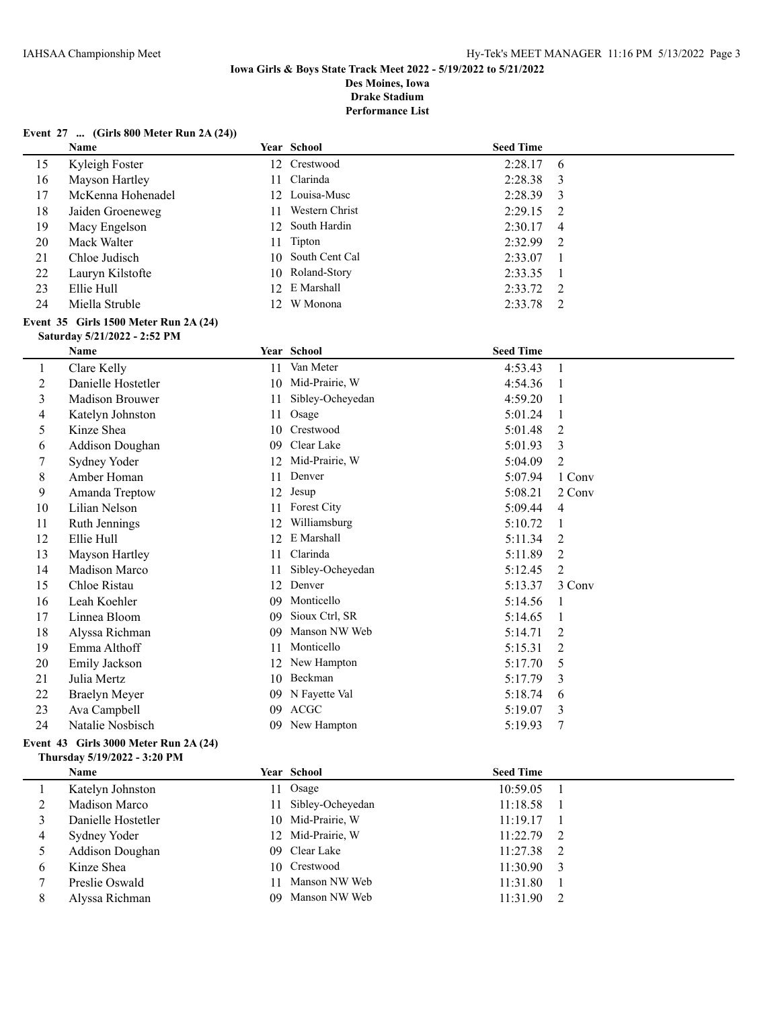**Performance List**

## **Event 27 ... (Girls 800 Meter Run 2A (24))**

|                | <b>Name</b>                           |    | Year School       | <b>Seed Time</b> |                          |
|----------------|---------------------------------------|----|-------------------|------------------|--------------------------|
| 15             | Kyleigh Foster                        |    | 12 Crestwood      | 2:28.17          | 6                        |
| 16             | Mayson Hartley                        | 11 | Clarinda          | 2:28.38          | 3                        |
| 17             | McKenna Hohenadel                     |    | 12 Louisa-Musc    | 2:28.39          | 3                        |
| 18             | Jaiden Groeneweg                      | 11 | Western Christ    | 2:29.15          | 2                        |
| 19             | Macy Engelson                         |    | 12 South Hardin   | 2:30.17          | 4                        |
| 20             | Mack Walter                           | 11 | Tipton            | 2:32.99          | 2                        |
| 21             | Chloe Judisch                         | 10 | South Cent Cal    | 2:33.07          | 1                        |
| 22             | Lauryn Kilstofte                      |    | 10 Roland-Story   | 2:33.35          | 1                        |
| 23             | Ellie Hull                            | 12 | E Marshall        | 2:33.72          | 2                        |
| 24             | Miella Struble                        |    | 12 W Monona       | 2:33.78          | 2                        |
|                | Event 35 Girls 1500 Meter Run 2A (24) |    |                   |                  |                          |
|                | Saturday 5/21/2022 - 2:52 PM          |    |                   |                  |                          |
|                | Name                                  |    | Year School       | <b>Seed Time</b> |                          |
| 1              | Clare Kelly                           | 11 | Van Meter         | 4:53.43          | $\mathbf{1}$             |
| $\overline{c}$ | Danielle Hostetler                    | 10 | Mid-Prairie, W    | 4:54.36          | 1                        |
| 3              | Madison Brouwer                       | 11 | Sibley-Ocheyedan  | 4:59.20          | 1                        |
| 4              | Katelyn Johnston                      | 11 | Osage             | 5:01.24          | 1                        |
| 5              | Kinze Shea                            | 10 | Crestwood         | 5:01.48          | 2                        |
| 6              | Addison Doughan                       | 09 | Clear Lake        | 5:01.93          | 3                        |
| 7              | Sydney Yoder                          |    | 12 Mid-Prairie, W | 5:04.09          | $\overline{c}$           |
| 8              | Amber Homan                           | 11 | Denver            | 5:07.94          | 1 Conv                   |
| 9              | Amanda Treptow                        | 12 | Jesup             | 5:08.21          | 2 Conv                   |
| 10             | Lilian Nelson                         |    | 11 Forest City    | 5:09.44          | $\overline{\mathcal{A}}$ |
| 11             | Ruth Jennings                         | 12 | Williamsburg      | 5:10.72          | $\mathbf{1}$             |
| 12             | Ellie Hull                            | 12 | E Marshall        | 5:11.34          | 2                        |
| 13             | Mayson Hartley                        | 11 | Clarinda          | 5:11.89          | $\overline{2}$           |
| 14             | Madison Marco                         | 11 | Sibley-Ocheyedan  | 5:12.45          | $\overline{2}$           |
| 15             | Chloe Ristau                          | 12 | Denver            | 5:13.37          | 3 Conv                   |
| 16             | Leah Koehler                          | 09 | Monticello        | 5:14.56          | 1                        |
| 17             | Linnea Bloom                          | 09 | Sioux Ctrl, SR    | 5:14.65          | 1                        |
| 18             | Alyssa Richman                        | 09 | Manson NW Web     | 5:14.71          | 2                        |
| 19             | Emma Althoff                          | 11 | Monticello        | 5:15.31          | 2                        |
| 20             | Emily Jackson                         |    | 12 New Hampton    | 5:17.70          | 5                        |
| 21             | Julia Mertz                           | 10 | Beckman           | 5:17.79          | 3                        |
| 22             | <b>Braelyn Meyer</b>                  | 09 | N Fayette Val     | 5:18.74          | 6                        |
| 23             | Ava Campbell                          | 09 | <b>ACGC</b>       | 5:19.07          | 3                        |
| 24             | Natalie Nosbisch                      |    | 09 New Hampton    | 5:19.93          | 7                        |

### **Event 43 Girls 3000 Meter Run 2A (24) Thursday 5/19/2022 - 3:20 PM**

|   | <b>Name</b>        | Year School         | <b>Seed Time</b> |  |
|---|--------------------|---------------------|------------------|--|
|   | Katelyn Johnston   | 11 Osage            | 10:59.05         |  |
|   | Madison Marco      | 11 Sibley-Ocheyedan | 11:18.58         |  |
|   | Danielle Hostetler | 10 Mid-Prairie, W   | 11:19.17         |  |
| 4 | Sydney Yoder       | 12 Mid-Prairie, W   | $11:22.79$ 2     |  |
|   | Addison Doughan    | 09 Clear Lake       | $11:27.38$ 2     |  |
| 6 | Kinze Shea         | 10 Crestwood        | $11:30.90$ 3     |  |
|   | Preslie Oswald     | 11 Manson NW Web    | 11:31.80         |  |
|   | Alyssa Richman     | 09 Manson NW Web    | 11:31.90         |  |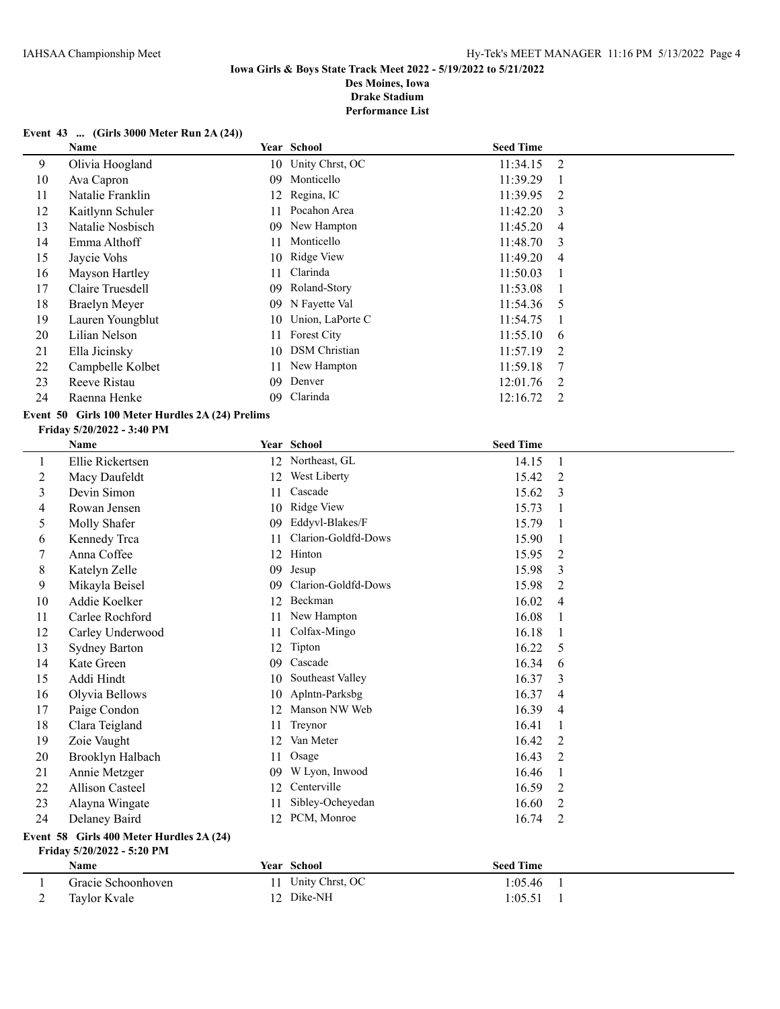**Performance List**

## **Event 43 ... (Girls 3000 Meter Run 2A (24))**

|    | <b>Name</b>          |     | Year School        | <b>Seed Time</b> |                |
|----|----------------------|-----|--------------------|------------------|----------------|
| 9  | Olivia Hoogland      |     | 10 Unity Chrst, OC | 11:34.15         | 2              |
| 10 | Ava Capron           | 09. | Monticello         | 11:39.29         |                |
| 11 | Natalie Franklin     |     | 12 Regina, IC      | 11:39.95         | 2              |
| 12 | Kaitlynn Schuler     | 11  | Pocahon Area       | 11:42.20         | 3              |
| 13 | Natalie Nosbisch     | 09  | New Hampton        | 11:45.20         | $\overline{4}$ |
| 14 | Emma Althoff         | 11  | Monticello         | 11:48.70         | 3              |
| 15 | Jaycie Vohs          |     | 10 Ridge View      | 11:49.20         | 4              |
| 16 | Mayson Hartley       | 11  | Clarinda           | 11:50.03         |                |
| 17 | Claire Truesdell     | 09. | Roland-Story       | 11:53.08         |                |
| 18 | <b>Braelyn Meyer</b> | 09. | N Fayette Val      | 11:54.36         | -5             |
| 19 | Lauren Youngblut     | 10  | Union, LaPorte C   | 11:54.75         |                |
| 20 | Lilian Nelson        | 11  | <b>Forest City</b> | 11:55.10         | 6              |
| 21 | Ella Jicinsky        |     | 10 DSM Christian   | 11:57.19         | 2              |
| 22 | Campbelle Kolbet     | 11  | New Hampton        | 11:59.18         |                |
| 23 | Reeve Ristau         | 09  | Denver             | 12:01.76         | 2              |
| 24 | Raenna Henke         | 09  | Clarinda           | 12:16.72         | 2              |

# **Event 50 Girls 100 Meter Hurdles 2A (24) Prelims**

## **Friday 5/20/2022 - 3:40 PM**

|    | Name                   |    | Year School         | <b>Seed Time</b> |                |
|----|------------------------|----|---------------------|------------------|----------------|
| 1  | Ellie Rickertsen       | 12 | Northeast, GL       | 14.15            | 1              |
| 2  | Macy Daufeldt          | 12 | West Liberty        | 15.42            | 2              |
| 3  | Devin Simon            | 11 | Cascade             | 15.62            | 3              |
| 4  | Rowan Jensen           | 10 | Ridge View          | 15.73            | -1             |
| 5  | Molly Shafer           | 09 | Eddyvl-Blakes/F     | 15.79            |                |
| 6  | Kennedy Trca           | 11 | Clarion-Goldfd-Dows | 15.90            |                |
| 7  | Anna Coffee            | 12 | Hinton              | 15.95            | 2              |
| 8  | Katelyn Zelle          | 09 | Jesup               | 15.98            | 3              |
| 9  | Mikayla Beisel         | 09 | Clarion-Goldfd-Dows | 15.98            | 2              |
| 10 | Addie Koelker          | 12 | Beckman             | 16.02            | $\overline{4}$ |
| 11 | Carlee Rochford        | 11 | New Hampton         | 16.08            |                |
| 12 | Carley Underwood       | 11 | Colfax-Mingo        | 16.18            |                |
| 13 | <b>Sydney Barton</b>   | 12 | Tipton              | 16.22            | 5              |
| 14 | Kate Green             | 09 | Cascade             | 16.34            | 6              |
| 15 | Addi Hindt             | 10 | Southeast Valley    | 16.37            | 3              |
| 16 | Olyvia Bellows         | 10 | Aplntn-Parksbg      | 16.37            | 4              |
| 17 | Paige Condon           | 12 | Manson NW Web       | 16.39            | 4              |
| 18 | Clara Teigland         | 11 | Treynor             | 16.41            | 1              |
| 19 | Zoie Vaught            | 12 | Van Meter           | 16.42            | $\overline{2}$ |
| 20 | Brooklyn Halbach       | 11 | Osage               | 16.43            | $\overline{2}$ |
| 21 | Annie Metzger          | 09 | W Lyon, Inwood      | 16.46            | 1              |
| 22 | <b>Allison Casteel</b> | 12 | Centerville         | 16.59            | 2              |
| 23 | Alayna Wingate         | 11 | Sibley-Ocheyedan    | 16.60            | $\overline{2}$ |
| 24 | Delaney Baird          | 12 | PCM, Monroe         | 16.74            | $\overline{2}$ |
|    |                        |    |                     |                  |                |

#### **Event 58 Girls 400 Meter Hurdles 2A (24) Friday 5/20/2022 - 5:20 PM**

| <b>Name</b>        | <b>Year</b> School | <b>Seed Time</b> |  |
|--------------------|--------------------|------------------|--|
| Gracie Schoonhoven | 11 Unity Chrst, OC | 1:05.46          |  |
| Taylor Kvale       | 12 Dike-NH         | 1:05.51          |  |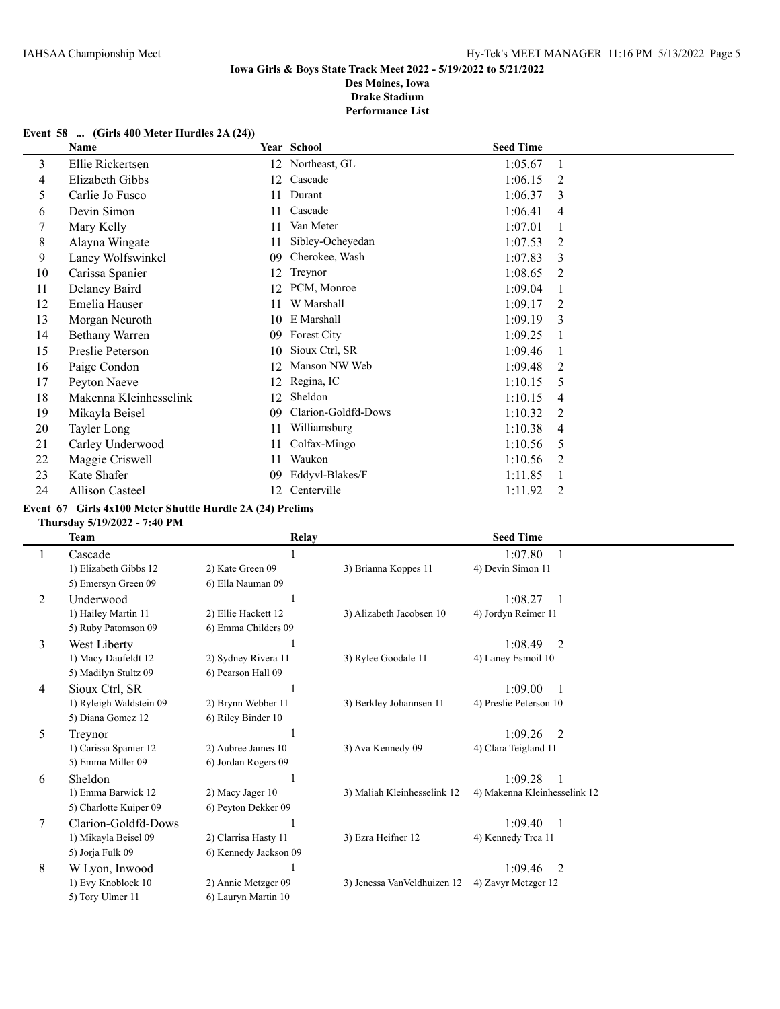**Performance List**

## **Event 58 ... (Girls 400 Meter Hurdles 2A (24))**

|    | Name                   |    | Year School         | <b>Seed Time</b> |                |
|----|------------------------|----|---------------------|------------------|----------------|
| 3  | Ellie Rickertsen       | 12 | Northeast, GL       | 1:05.67          | 1              |
| 4  | Elizabeth Gibbs        | 12 | Cascade             | 1:06.15          | 2              |
| 5  | Carlie Jo Fusco        | 11 | Durant              | 1:06.37          | 3              |
| 6  | Devin Simon            | 11 | Cascade             | 1:06.41          | 4              |
| 7  | Mary Kelly             | 11 | Van Meter           | 1:07.01          |                |
| 8  | Alayna Wingate         | 11 | Sibley-Ocheyedan    | 1:07.53          | 2              |
| 9  | Laney Wolfswinkel      | 09 | Cherokee, Wash      | 1:07.83          | 3              |
| 10 | Carissa Spanier        | 12 | Treynor             | 1:08.65          | 2              |
| 11 | Delaney Baird          | 12 | PCM, Monroe         | 1:09.04          |                |
| 12 | Emelia Hauser          | 11 | W Marshall          | 1:09.17          | 2              |
| 13 | Morgan Neuroth         | 10 | E Marshall          | 1:09.19          | 3              |
| 14 | Bethany Warren         | 09 | Forest City         | 1:09.25          |                |
| 15 | Preslie Peterson       | 10 | Sioux Ctrl, SR      | 1:09.46          |                |
| 16 | Paige Condon           | 12 | Manson NW Web       | 1:09.48          | 2              |
| 17 | Peyton Naeve           | 12 | Regina, IC          | 1:10.15          | 5              |
| 18 | Makenna Kleinhesselink | 12 | Sheldon             | 1:10.15          | 4              |
| 19 | Mikayla Beisel         | 09 | Clarion-Goldfd-Dows | 1:10.32          | $\overline{2}$ |
| 20 | Tayler Long            | 11 | Williamsburg        | 1:10.38          | 4              |
| 21 | Carley Underwood       | 11 | Colfax-Mingo        | 1:10.56          | 5              |
| 22 | Maggie Criswell        | 11 | Waukon              | 1:10.56          | 2              |
| 23 | Kate Shafer            | 09 | Eddyvl-Blakes/F     | 1:11.85          |                |
| 24 | <b>Allison Casteel</b> | 12 | Centerville         | 1:11.92          | 2              |

### **Event 67 Girls 4x100 Meter Shuttle Hurdle 2A (24) Prelims**

### **Thursday 5/19/2022 - 7:40 PM**

 $\overline{a}$ 

|   | <b>Team</b>             | <b>Relay</b>          |                              | <b>Seed Time</b>             |
|---|-------------------------|-----------------------|------------------------------|------------------------------|
|   | Cascade                 |                       |                              | 1:07.80                      |
|   | 1) Elizabeth Gibbs 12   | 2) Kate Green 09      | 3) Brianna Koppes 11         | 4) Devin Simon 11            |
|   | 5) Emersyn Green 09     | 6) Ella Nauman 09     |                              |                              |
| 2 | Underwood               |                       |                              | 1:08.27                      |
|   | 1) Hailey Martin 11     | 2) Ellie Hackett 12   | 3) Alizabeth Jacobsen 10     | 4) Jordyn Reimer 11          |
|   | 5) Ruby Patomson 09     | 6) Emma Childers 09   |                              |                              |
| 3 | West Liberty            |                       |                              | 1:08.49<br>2                 |
|   | 1) Macy Daufeldt 12     | 2) Sydney Rivera 11   | 3) Rylee Goodale 11          | 4) Laney Esmoil 10           |
|   | 5) Madilyn Stultz 09    | 6) Pearson Hall 09    |                              |                              |
| 4 | Sioux Ctrl, SR          |                       |                              | 1:09.00                      |
|   | 1) Ryleigh Waldstein 09 | 2) Brynn Webber 11    | 3) Berkley Johannsen 11      | 4) Preslie Peterson 10       |
|   | 5) Diana Gomez 12       | 6) Riley Binder 10    |                              |                              |
| 5 | Treynor                 |                       |                              | 1:09.26<br>$\mathfrak{D}$    |
|   | 1) Carissa Spanier 12   | 2) Aubree James 10    | 3) Ava Kennedy 09            | 4) Clara Teigland 11         |
|   | 5) Emma Miller 09       | 6) Jordan Rogers 09   |                              |                              |
| 6 | Sheldon                 |                       |                              | 1:09.28                      |
|   | 1) Emma Barwick 12      | 2) Macy Jager 10      | 3) Maliah Kleinhesselink 12  | 4) Makenna Kleinhesselink 12 |
|   | 5) Charlotte Kuiper 09  | 6) Peyton Dekker 09   |                              |                              |
| 7 | Clarion-Goldfd-Dows     |                       |                              | 1:09.40<br>-1                |
|   | 1) Mikayla Beisel 09    | 2) Clarrisa Hasty 11  | 3) Ezra Heifner 12           | 4) Kennedy Trca 11           |
|   | 5) Jorja Fulk 09        | 6) Kennedy Jackson 09 |                              |                              |
| 8 | W Lyon, Inwood          |                       |                              | 1:09.46<br>2                 |
|   | 1) Evy Knoblock 10      | 2) Annie Metzger 09   | 3) Jenessa Van Veldhuizen 12 | 4) Zavyr Metzger 12          |
|   | 5) Tory Ulmer 11        | 6) Lauryn Martin 10   |                              |                              |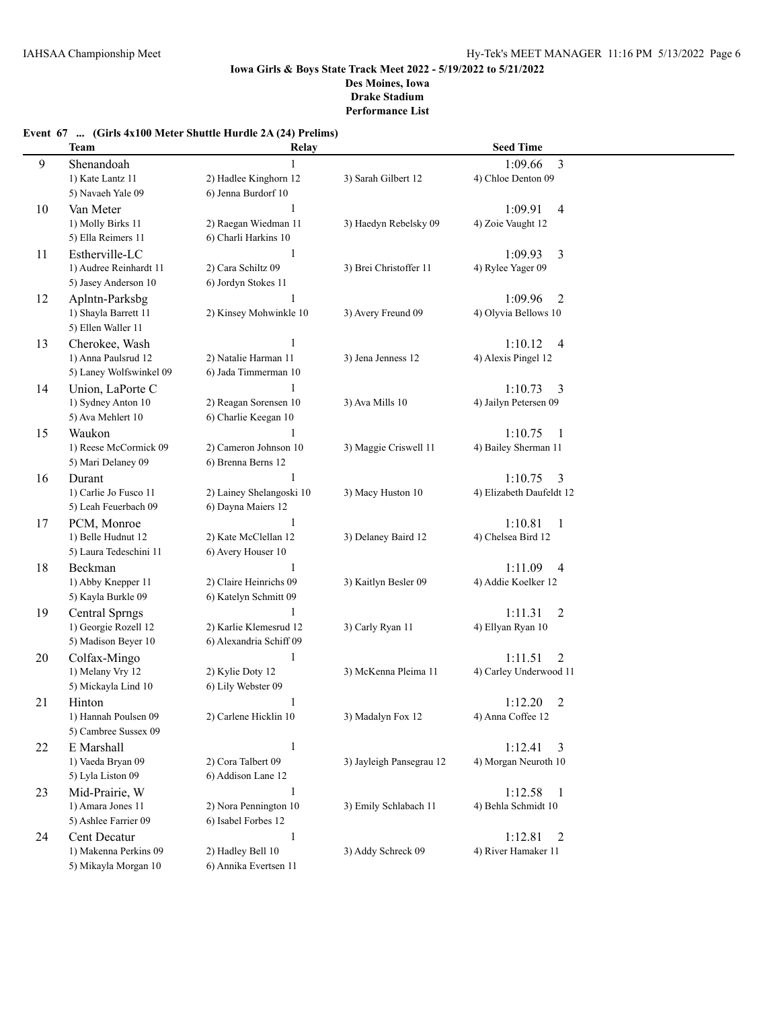# **Event 67 ... (Girls 4x100 Meter Shuttle Hurdle 2A (24) Prelims)**

|    | <b>Team</b>                               | Relay                             |                          | <b>Seed Time</b>                    |  |
|----|-------------------------------------------|-----------------------------------|--------------------------|-------------------------------------|--|
| 9  | Shenandoah                                |                                   |                          | $\overline{3}$<br>1:09.66           |  |
|    | 1) Kate Lantz 11                          | 2) Hadlee Kinghorn 12             | 3) Sarah Gilbert 12      | 4) Chloe Denton 09                  |  |
|    | 5) Navaeh Yale 09                         | 6) Jenna Burdorf 10               |                          |                                     |  |
| 10 | Van Meter                                 | 1                                 |                          | 1:09.91<br>4                        |  |
|    | 1) Molly Birks 11                         | 2) Raegan Wiedman 11              | 3) Haedyn Rebelsky 09    | 4) Zoie Vaught 12                   |  |
|    | 5) Ella Reimers 11                        | 6) Charli Harkins 10              |                          |                                     |  |
| 11 | Estherville-LC                            | $\mathbf{1}$                      |                          | 1:09.93<br>3                        |  |
|    | 1) Audree Reinhardt 11                    | 2) Cara Schiltz 09                | 3) Brei Christoffer 11   | 4) Rylee Yager 09                   |  |
|    | 5) Jasey Anderson 10                      | 6) Jordyn Stokes 11               |                          |                                     |  |
| 12 | Aplntn-Parksbg                            |                                   |                          | 1:09.96<br>2                        |  |
|    | 1) Shayla Barrett 11                      | 2) Kinsey Mohwinkle 10            | 3) Avery Freund 09       | 4) Olyvia Bellows 10                |  |
|    | 5) Ellen Waller 11                        |                                   |                          |                                     |  |
| 13 | Cherokee, Wash                            | 1                                 |                          | 1:10.12<br>$\overline{4}$           |  |
|    | 1) Anna Paulsrud 12                       | 2) Natalie Harman 11              | 3) Jena Jenness 12       | 4) Alexis Pingel 12                 |  |
|    | 5) Laney Wolfswinkel 09                   | 6) Jada Timmerman 10              |                          |                                     |  |
| 14 | Union, LaPorte C                          | 1                                 |                          | 1:10.73<br>3                        |  |
|    | 1) Sydney Anton 10                        | 2) Reagan Sorensen 10             | 3) Ava Mills 10          | 4) Jailyn Petersen 09               |  |
|    | 5) Ava Mehlert 10                         | 6) Charlie Keegan 10              |                          |                                     |  |
| 15 | Waukon                                    | 1                                 |                          | 1:10.75<br>-1                       |  |
|    | 1) Reese McCormick 09                     | 2) Cameron Johnson 10             | 3) Maggie Criswell 11    | 4) Bailey Sherman 11                |  |
|    | 5) Mari Delaney 09                        | 6) Brenna Berns 12                |                          |                                     |  |
| 16 | Durant                                    |                                   |                          | 1:10.75<br>3                        |  |
|    | 1) Carlie Jo Fusco 11                     | 2) Lainey Shelangoski 10          | 3) Macy Huston 10        | 4) Elizabeth Daufeldt 12            |  |
|    | 5) Leah Feuerbach 09                      | 6) Dayna Maiers 12                |                          |                                     |  |
| 17 | PCM, Monroe                               | 1                                 |                          | 1:10.81<br>$\mathbf{1}$             |  |
|    | 1) Belle Hudnut 12                        | 2) Kate McClellan 12              | 3) Delaney Baird 12      | 4) Chelsea Bird 12                  |  |
|    | 5) Laura Tedeschini 11                    | 6) Avery Houser 10                |                          |                                     |  |
| 18 | Beckman                                   | $\mathbf{1}$                      |                          | 1:11.09<br>4                        |  |
|    | 1) Abby Knepper 11                        | 2) Claire Heinrichs 09            | 3) Kaitlyn Besler 09     | 4) Addie Koelker 12                 |  |
|    | 5) Kayla Burkle 09                        | 6) Katelyn Schmitt 09             |                          |                                     |  |
| 19 | <b>Central Sprngs</b>                     | 1                                 |                          | 1:11.31<br>2                        |  |
|    | 1) Georgie Rozell 12                      | 2) Karlie Klemesrud 12            | 3) Carly Ryan 11         | 4) Ellyan Ryan 10                   |  |
|    | 5) Madison Beyer 10                       | 6) Alexandria Schiff 09           |                          |                                     |  |
| 20 | Colfax-Mingo                              | $\mathbf{1}$                      |                          | 1:11.51<br>2                        |  |
|    | 1) Melany Vry 12                          | 2) Kylie Doty 12                  | 3) McKenna Pleima 11     | 4) Carley Underwood 11              |  |
|    | 5) Mickayla Lind 10                       | 6) Lily Webster 09                |                          |                                     |  |
| 21 | Hinton                                    | 1                                 |                          | $\overline{c}$<br>1:12.20           |  |
|    | 1) Hannah Poulsen 09                      | 2) Carlene Hicklin 10             | 3) Madalyn Fox 12        | 4) Anna Coffee 12                   |  |
|    | 5) Cambree Sussex 09                      |                                   |                          |                                     |  |
| 22 | E Marshall                                | $\mathbf{1}$                      |                          | 1:12.41<br>3                        |  |
|    | 1) Vaeda Bryan 09                         | 2) Cora Talbert 09                | 3) Jayleigh Pansegrau 12 | 4) Morgan Neuroth 10                |  |
|    | 5) Lyla Liston 09                         | 6) Addison Lane 12                |                          |                                     |  |
| 23 | Mid-Prairie, W                            | $\mathbf{1}$                      |                          | 1:12.58<br>$\mathbf{1}$             |  |
|    | 1) Amara Jones 11<br>5) Ashlee Farrier 09 | 2) Nora Pennington 10             | 3) Emily Schlabach 11    | 4) Behla Schmidt 10                 |  |
|    |                                           | 6) Isabel Forbes 12               |                          |                                     |  |
| 24 | Cent Decatur<br>1) Makenna Perkins 09     | $\mathbf{1}$<br>2) Hadley Bell 10 | 3) Addy Schreck 09       | 1:12.81<br>2<br>4) River Hamaker 11 |  |
|    | 5) Mikayla Morgan 10                      | 6) Annika Evertsen 11             |                          |                                     |  |
|    |                                           |                                   |                          |                                     |  |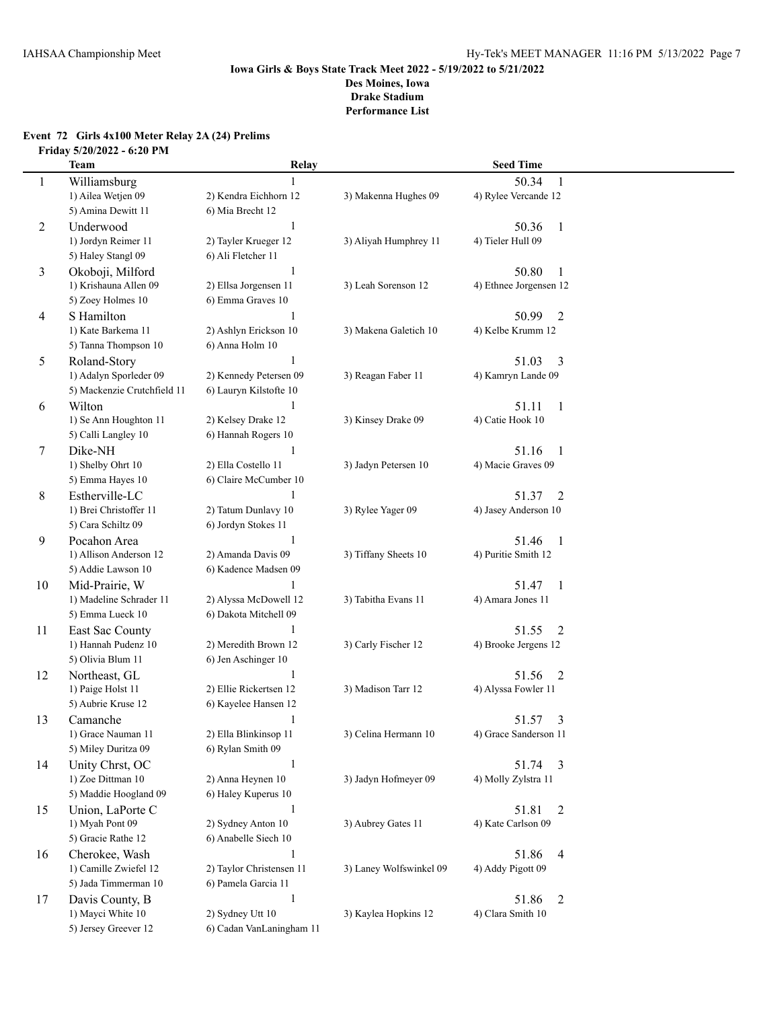## **Event 72 Girls 4x100 Meter Relay 2A (24) Prelims Friday 5/20/2022 - 6:20 PM**

|    | <b>Team</b>                                  | Relay                                      |                         | <b>Seed Time</b>                             |  |
|----|----------------------------------------------|--------------------------------------------|-------------------------|----------------------------------------------|--|
| 1  | Williamsburg                                 |                                            |                         | 50.34<br>1                                   |  |
|    | 1) Ailea Wetjen 09                           | 2) Kendra Eichhorn 12                      | 3) Makenna Hughes 09    | 4) Rylee Vercande 12                         |  |
|    | 5) Amina Dewitt 11                           | 6) Mia Brecht 12                           |                         |                                              |  |
| 2  | Underwood                                    | 1                                          |                         | 50.36<br>1                                   |  |
|    | 1) Jordyn Reimer 11                          | 2) Tayler Krueger 12                       | 3) Aliyah Humphrey 11   | 4) Tieler Hull 09                            |  |
|    | 5) Haley Stangl 09                           | 6) Ali Fletcher 11                         |                         |                                              |  |
| 3  | Okoboji, Milford                             | 1                                          |                         | 50.80<br>1                                   |  |
|    | 1) Krishauna Allen 09                        | 2) Ellsa Jorgensen 11                      | 3) Leah Sorenson 12     | 4) Ethnee Jorgensen 12                       |  |
|    | 5) Zoey Holmes 10                            | 6) Emma Graves 10                          |                         |                                              |  |
| 4  | S Hamilton                                   | 1                                          |                         | $\overline{2}$<br>50.99                      |  |
|    | 1) Kate Barkema 11                           | 2) Ashlyn Erickson 10                      | 3) Makena Galetich 10   | 4) Kelbe Krumm 12                            |  |
|    | 5) Tanna Thompson 10                         | 6) Anna Holm 10                            |                         |                                              |  |
| 5  | Roland-Story                                 | 1                                          |                         | 51.03<br>3                                   |  |
|    | 1) Adalyn Sporleder 09                       | 2) Kennedy Petersen 09                     | 3) Reagan Faber 11      | 4) Kamryn Lande 09                           |  |
|    | 5) Mackenzie Crutchfield 11                  | 6) Lauryn Kilstofte 10                     |                         |                                              |  |
| 6  | Wilton                                       | 1                                          |                         | 51.11<br>1                                   |  |
|    | 1) Se Ann Houghton 11                        | 2) Kelsey Drake 12                         | 3) Kinsey Drake 09      | 4) Catie Hook 10                             |  |
|    | 5) Calli Langley 10                          | 6) Hannah Rogers 10                        |                         |                                              |  |
| 7  | Dike-NH                                      | 1                                          |                         | 51.16<br>$\overline{1}$                      |  |
|    | 1) Shelby Ohrt 10                            | 2) Ella Costello 11                        | 3) Jadyn Petersen 10    | 4) Macie Graves 09                           |  |
|    | 5) Emma Hayes 10                             | 6) Claire McCumber 10                      |                         |                                              |  |
| 8  | Estherville-LC                               |                                            |                         | 51.37<br>2                                   |  |
|    | 1) Brei Christoffer 11<br>5) Cara Schiltz 09 | 2) Tatum Dunlavy 10<br>6) Jordyn Stokes 11 | 3) Rylee Yager 09       | 4) Jasey Anderson 10                         |  |
|    |                                              | 1                                          |                         |                                              |  |
| 9  | Pocahon Area<br>1) Allison Anderson 12       | 2) Amanda Davis 09                         | 3) Tiffany Sheets 10    | 51.46<br>$\mathbf{1}$<br>4) Puritie Smith 12 |  |
|    | 5) Addie Lawson 10                           | 6) Kadence Madsen 09                       |                         |                                              |  |
| 10 | Mid-Prairie, W                               |                                            |                         | 51.47<br>1                                   |  |
|    | 1) Madeline Schrader 11                      | 2) Alyssa McDowell 12                      | 3) Tabitha Evans 11     | 4) Amara Jones 11                            |  |
|    | 5) Emma Lueck 10                             | 6) Dakota Mitchell 09                      |                         |                                              |  |
| 11 | East Sac County                              | 1                                          |                         | 51.55<br>2                                   |  |
|    | 1) Hannah Pudenz 10                          | 2) Meredith Brown 12                       | 3) Carly Fischer 12     | 4) Brooke Jergens 12                         |  |
|    | 5) Olivia Blum 11                            | 6) Jen Aschinger 10                        |                         |                                              |  |
| 12 | Northeast, GL                                | 1                                          |                         | 51.56<br>2                                   |  |
|    | 1) Paige Holst 11                            | 2) Ellie Rickertsen 12                     | 3) Madison Tarr 12      | 4) Alyssa Fowler 11                          |  |
|    | 5) Aubrie Kruse 12                           | 6) Kayelee Hansen 12                       |                         |                                              |  |
| 13 | Camanche                                     | $\mathbf{1}$                               |                         | 3<br>51.57                                   |  |
|    | 1) Grace Nauman 11                           | 2) Ella Blinkinsop 11                      | 3) Celina Hermann 10    | 4) Grace Sanderson 11                        |  |
|    | 5) Miley Duritza 09                          | 6) Rylan Smith 09                          |                         |                                              |  |
| 14 | Unity Chrst, OC                              | $\mathbf{1}$                               |                         | 51.74 3                                      |  |
|    | 1) Zoe Dittman 10                            | 2) Anna Heynen 10                          | 3) Jadyn Hofmeyer 09    | 4) Molly Zylstra 11                          |  |
|    | 5) Maddie Hoogland 09                        | 6) Haley Kuperus 10                        |                         |                                              |  |
| 15 | Union, LaPorte C                             | 1                                          |                         | 51.81<br>2                                   |  |
|    | 1) Myah Pont 09                              | 2) Sydney Anton 10                         | 3) Aubrey Gates 11      | 4) Kate Carlson 09                           |  |
|    | 5) Gracie Rathe 12                           | 6) Anabelle Siech 10                       |                         |                                              |  |
| 16 | Cherokee, Wash                               | 1                                          |                         | 51.86<br>4                                   |  |
|    | 1) Camille Zwiefel 12                        | 2) Taylor Christensen 11                   | 3) Laney Wolfswinkel 09 | 4) Addy Pigott 09                            |  |
|    | 5) Jada Timmerman 10                         | 6) Pamela Garcia 11                        |                         |                                              |  |
| 17 | Davis County, B                              | $\mathbf{1}$                               |                         | 51.86<br>2                                   |  |
|    | 1) Mayci White 10                            | 2) Sydney Utt 10                           | 3) Kaylea Hopkins 12    | 4) Clara Smith 10                            |  |
|    | 5) Jersey Greever 12                         | 6) Cadan VanLaningham 11                   |                         |                                              |  |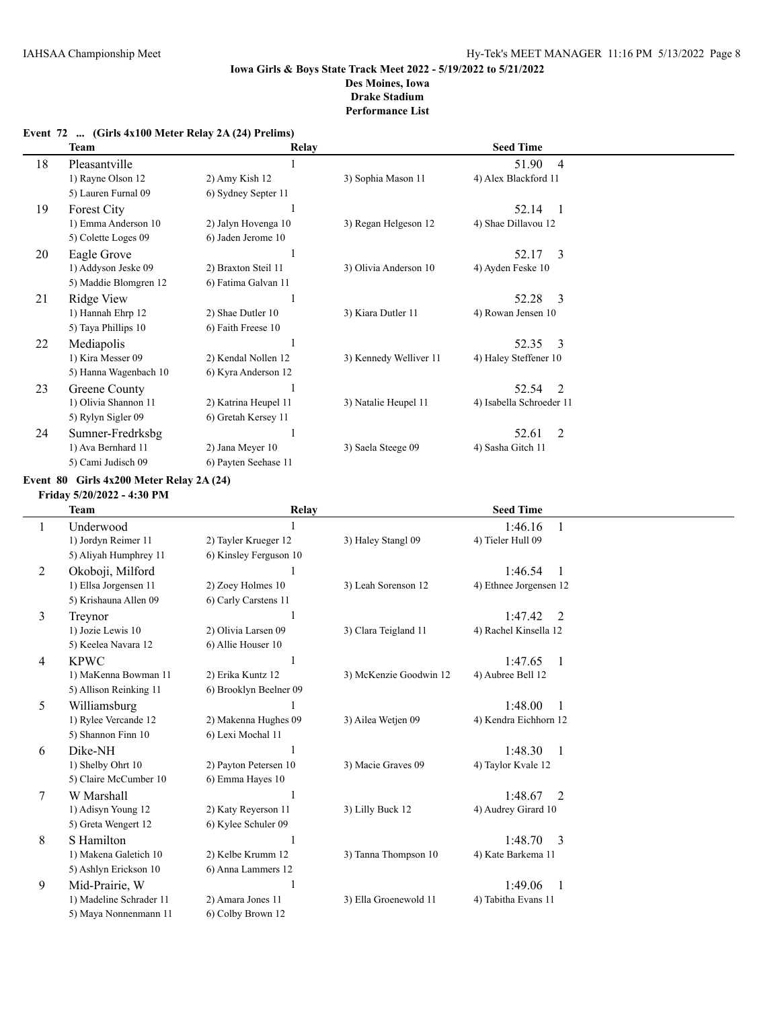|  | Event 72  (Girls 4x100 Meter Relay 2A (24) Prelims) |  |  |
|--|-----------------------------------------------------|--|--|
|--|-----------------------------------------------------|--|--|

|    | Team                  | Relay                |                        | <b>Seed Time</b>                 |  |
|----|-----------------------|----------------------|------------------------|----------------------------------|--|
| 18 | Pleasantville         |                      |                        | 51.90<br>$\overline{4}$          |  |
|    | 1) Rayne Olson 12     | 2) Amy Kish 12       | 3) Sophia Mason 11     | 4) Alex Blackford 11             |  |
|    | 5) Lauren Furnal 09   | 6) Sydney Septer 11  |                        |                                  |  |
| 19 | Forest City           |                      |                        | 52.14                            |  |
|    | 1) Emma Anderson 10   | 2) Jalyn Hovenga 10  | 3) Regan Helgeson 12   | 4) Shae Dillavou 12              |  |
|    | 5) Colette Loges 09   | 6) Jaden Jerome 10   |                        |                                  |  |
| 20 | Eagle Grove           |                      |                        | 52.17<br>$\overline{\mathbf{3}}$ |  |
|    | 1) Addyson Jeske 09   | 2) Braxton Steil 11  | 3) Olivia Anderson 10  | 4) Ayden Feske 10                |  |
|    | 5) Maddie Blomgren 12 | 6) Fatima Galvan 11  |                        |                                  |  |
| 21 | Ridge View            |                      |                        | 52.28<br>-3                      |  |
|    | 1) Hannah Ehrp 12     | 2) Shae Dutler 10    | 3) Kiara Dutler 11     | 4) Rowan Jensen 10               |  |
|    | 5) Taya Phillips 10   | 6) Faith Freese 10   |                        |                                  |  |
| 22 | Mediapolis            |                      |                        | 52.35<br>$\mathbf{3}$            |  |
|    | 1) Kira Messer 09     | 2) Kendal Nollen 12  | 3) Kennedy Welliver 11 | 4) Haley Steffener 10            |  |
|    | 5) Hanna Wagenbach 10 | 6) Kyra Anderson 12  |                        |                                  |  |
| 23 | Greene County         |                      |                        | 52.54<br>2                       |  |
|    | 1) Olivia Shannon 11  | 2) Katrina Heupel 11 | 3) Natalie Heupel 11   | 4) Isabella Schroeder 11         |  |
|    | 5) Rylyn Sigler 09    | 6) Gretah Kersey 11  |                        |                                  |  |
| 24 | Sumner-Fredrksbg      |                      |                        | 2<br>52.61                       |  |
|    | 1) Ava Bernhard 11    | 2) Jana Meyer 10     | 3) Saela Steege 09     | 4) Sasha Gitch 11                |  |
|    | 5) Cami Judisch 09    | 6) Payten Seehase 11 |                        |                                  |  |

#### **Event 80 Girls 4x200 Meter Relay 2A (24)**

**Friday 5/20/2022 - 4:30 PM**

|                | <b>Team</b>             | Relay                  |                        | <b>Seed Time</b>          |  |
|----------------|-------------------------|------------------------|------------------------|---------------------------|--|
|                | Underwood               |                        |                        | 1:46.16<br>$\mathbf{1}$   |  |
|                | 1) Jordyn Reimer 11     | 2) Tayler Krueger 12   | 3) Haley Stangl 09     | 4) Tieler Hull 09         |  |
|                | 5) Aliyah Humphrey 11   | 6) Kinsley Ferguson 10 |                        |                           |  |
| 2              | Okoboji, Milford        |                        |                        | 1:46.54<br>$\mathbf{1}$   |  |
|                | 1) Ellsa Jorgensen 11   | 2) Zoey Holmes 10      | 3) Leah Sorenson 12    | 4) Ethnee Jorgensen 12    |  |
|                | 5) Krishauna Allen 09   | 6) Carly Carstens 11   |                        |                           |  |
| 3              | Trevnor                 |                        |                        | 1:47.42<br>$\mathfrak{D}$ |  |
|                | 1) Jozie Lewis 10       | 2) Olivia Larsen 09    | 3) Clara Teigland 11   | 4) Rachel Kinsella 12     |  |
|                | 5) Keelea Navara 12     | 6) Allie Houser 10     |                        |                           |  |
| $\overline{4}$ | <b>KPWC</b>             |                        |                        | 1:47.65<br>$\overline{1}$ |  |
|                | 1) MaKenna Bowman 11    | 2) Erika Kuntz 12      | 3) McKenzie Goodwin 12 | 4) Aubree Bell 12         |  |
|                | 5) Allison Reinking 11  | 6) Brooklyn Beelner 09 |                        |                           |  |
| 5              | Williamsburg            |                        |                        | 1:48.00<br>-1             |  |
|                | 1) Rylee Vercande 12    | 2) Makenna Hughes 09   | 3) Ailea Wetjen 09     | 4) Kendra Eichhorn 12     |  |
|                | 5) Shannon Finn 10      | 6) Lexi Mochal 11      |                        |                           |  |
| 6              | Dike-NH                 |                        |                        | 1:48.30<br>$\overline{1}$ |  |
|                | 1) Shelby Ohrt 10       | 2) Payton Petersen 10  | 3) Macie Graves 09     | 4) Taylor Kvale 12        |  |
|                | 5) Claire McCumber 10   | 6) Emma Hayes 10       |                        |                           |  |
| 7              | W Marshall              |                        |                        | $\mathfrak{D}$<br>1:48.67 |  |
|                | 1) Adisyn Young 12      | 2) Katy Reyerson 11    | 3) Lilly Buck 12       | 4) Audrey Girard 10       |  |
|                | 5) Greta Wengert 12     | 6) Kylee Schuler 09    |                        |                           |  |
| 8              | S Hamilton              |                        |                        | 3<br>1:48.70              |  |
|                | 1) Makena Galetich 10   | 2) Kelbe Krumm 12      | 3) Tanna Thompson 10   | 4) Kate Barkema 11        |  |
|                | 5) Ashlyn Erickson 10   | 6) Anna Lammers 12     |                        |                           |  |
| 9              | Mid-Prairie, W          |                        |                        | 1:49.06                   |  |
|                | 1) Madeline Schrader 11 | 2) Amara Jones 11      | 3) Ella Groenewold 11  | 4) Tabitha Evans 11       |  |
|                | 5) Maya Nonnenmann 11   | 6) Colby Brown 12      |                        |                           |  |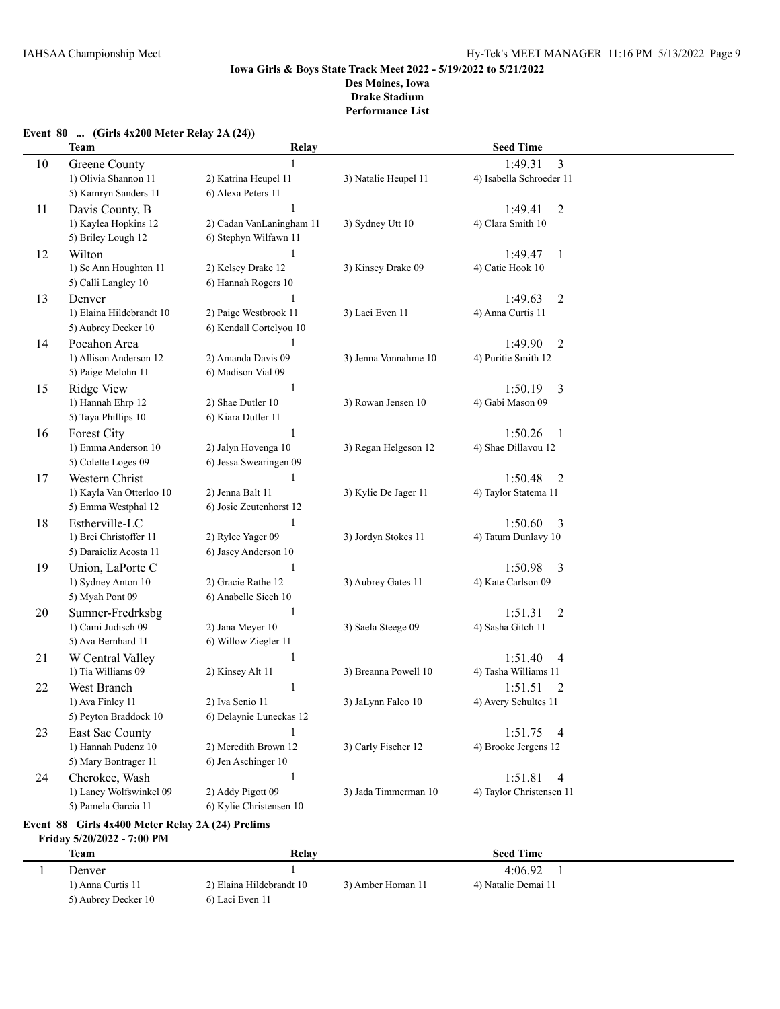## **Event 80 ... (Girls 4x200 Meter Relay 2A (24))**

|        | <b>Team</b>              | Relay                    |                      | <b>Seed Time</b>          |  |
|--------|--------------------------|--------------------------|----------------------|---------------------------|--|
| $10\,$ | <b>Greene County</b>     |                          |                      | 3<br>1:49.31              |  |
|        | 1) Olivia Shannon 11     | 2) Katrina Heupel 11     | 3) Natalie Heupel 11 | 4) Isabella Schroeder 11  |  |
|        | 5) Kamryn Sanders 11     | 6) Alexa Peters 11       |                      |                           |  |
| 11     | Davis County, B          | 1                        |                      | 1:49.41<br>$\overline{c}$ |  |
|        | 1) Kaylea Hopkins 12     | 2) Cadan VanLaningham 11 | 3) Sydney Utt 10     | 4) Clara Smith 10         |  |
|        | 5) Briley Lough 12       | 6) Stephyn Wilfawn 11    |                      |                           |  |
| 12     | Wilton                   | $\mathbf{1}$             |                      | 1:49.47<br>1              |  |
|        | 1) Se Ann Houghton 11    | 2) Kelsey Drake 12       | 3) Kinsey Drake 09   | 4) Catie Hook 10          |  |
|        | 5) Calli Langley 10      | 6) Hannah Rogers 10      |                      |                           |  |
| 13     | Denver                   | 1                        |                      | 1:49.63<br>$\overline{2}$ |  |
|        | 1) Elaina Hildebrandt 10 | 2) Paige Westbrook 11    | 3) Laci Even 11      | 4) Anna Curtis 11         |  |
|        | 5) Aubrey Decker 10      | 6) Kendall Cortelyou 10  |                      |                           |  |
| 14     | Pocahon Area             |                          |                      | 1:49.90<br>2              |  |
|        | 1) Allison Anderson 12   | 2) Amanda Davis 09       | 3) Jenna Vonnahme 10 | 4) Puritie Smith 12       |  |
|        | 5) Paige Melohn 11       | 6) Madison Vial 09       |                      |                           |  |
| 15     | Ridge View               | 1                        |                      | 1:50.19<br>3              |  |
|        | 1) Hannah Ehrp 12        | 2) Shae Dutler 10        | 3) Rowan Jensen 10   | 4) Gabi Mason 09          |  |
|        | 5) Taya Phillips 10      | 6) Kiara Dutler 11       |                      |                           |  |
| 16     | Forest City              | 1                        |                      | 1:50.26<br>1              |  |
|        | 1) Emma Anderson 10      | 2) Jalyn Hovenga 10      | 3) Regan Helgeson 12 | 4) Shae Dillavou 12       |  |
|        | 5) Colette Loges 09      | 6) Jessa Swearingen 09   |                      |                           |  |
| 17     | Western Christ           | 1                        |                      | 1:50.48<br>2              |  |
|        | 1) Kayla Van Otterloo 10 | 2) Jenna Balt 11         | 3) Kylie De Jager 11 | 4) Taylor Statema 11      |  |
|        | 5) Emma Westphal 12      | 6) Josie Zeutenhorst 12  |                      |                           |  |
| 18     | Estherville-LC           | $\mathbf{1}$             |                      | 1:50.60<br>3              |  |
|        | 1) Brei Christoffer 11   | 2) Rylee Yager 09        | 3) Jordyn Stokes 11  | 4) Tatum Dunlavy 10       |  |
|        | 5) Daraieliz Acosta 11   | 6) Jasey Anderson 10     |                      |                           |  |
| 19     | Union, LaPorte C         | $\mathbf{1}$             |                      | 1:50.98<br>3              |  |
|        | 1) Sydney Anton 10       | 2) Gracie Rathe 12       | 3) Aubrey Gates 11   | 4) Kate Carlson 09        |  |
|        | 5) Myah Pont 09          | 6) Anabelle Siech 10     |                      |                           |  |
| 20     | Sumner-Fredrksbg         | 1                        |                      | 1:51.31<br>$\overline{2}$ |  |
|        | 1) Cami Judisch 09       | 2) Jana Meyer 10         | 3) Saela Steege 09   | 4) Sasha Gitch 11         |  |
|        | 5) Ava Bernhard 11       | 6) Willow Ziegler 11     |                      |                           |  |
| 21     | W Central Valley         | 1                        |                      | 1:51.40<br>4              |  |
|        | 1) Tia Williams 09       | 2) Kinsey Alt 11         | 3) Breanna Powell 10 | 4) Tasha Williams 11      |  |
| 22     | West Branch              | 1                        |                      | 1:51.51<br>2              |  |
|        | 1) Ava Finley 11         | 2) Iva Senio 11          | 3) JaLynn Falco 10   | 4) Avery Schultes 11      |  |
|        | 5) Peyton Braddock 10    | 6) Delaynie Luneckas 12  |                      |                           |  |
| 23     | East Sac County          | 1                        |                      | 1:51.75<br>4              |  |
|        | 1) Hannah Pudenz 10      | 2) Meredith Brown 12     | 3) Carly Fischer 12  | 4) Brooke Jergens 12      |  |
|        | 5) Mary Bontrager 11     | 6) Jen Aschinger 10      |                      |                           |  |
| 24     | Cherokee, Wash           | $\mathbf{1}$             |                      | 1:51.81<br>4              |  |
|        | 1) Laney Wolfswinkel 09  | 2) Addy Pigott 09        | 3) Jada Timmerman 10 | 4) Taylor Christensen 11  |  |
|        | 5) Pamela Garcia 11      | 6) Kylie Christensen 10  |                      |                           |  |

### **Event 88 Girls 4x400 Meter Relay 2A (24) Prelims Friday 5/20/2022 - 7:00 PM**

| <b>Team</b>         | Relay                    |                   | <b>Seed Time</b>    |  |
|---------------------|--------------------------|-------------------|---------------------|--|
| Denver              |                          |                   | 4:06.92             |  |
| 1) Anna Curtis 11   | 2) Elaina Hildebrandt 10 | 3) Amber Homan 11 | 4) Natalie Demai 11 |  |
| 5) Aubrey Decker 10 | 6) Laci Even 11          |                   |                     |  |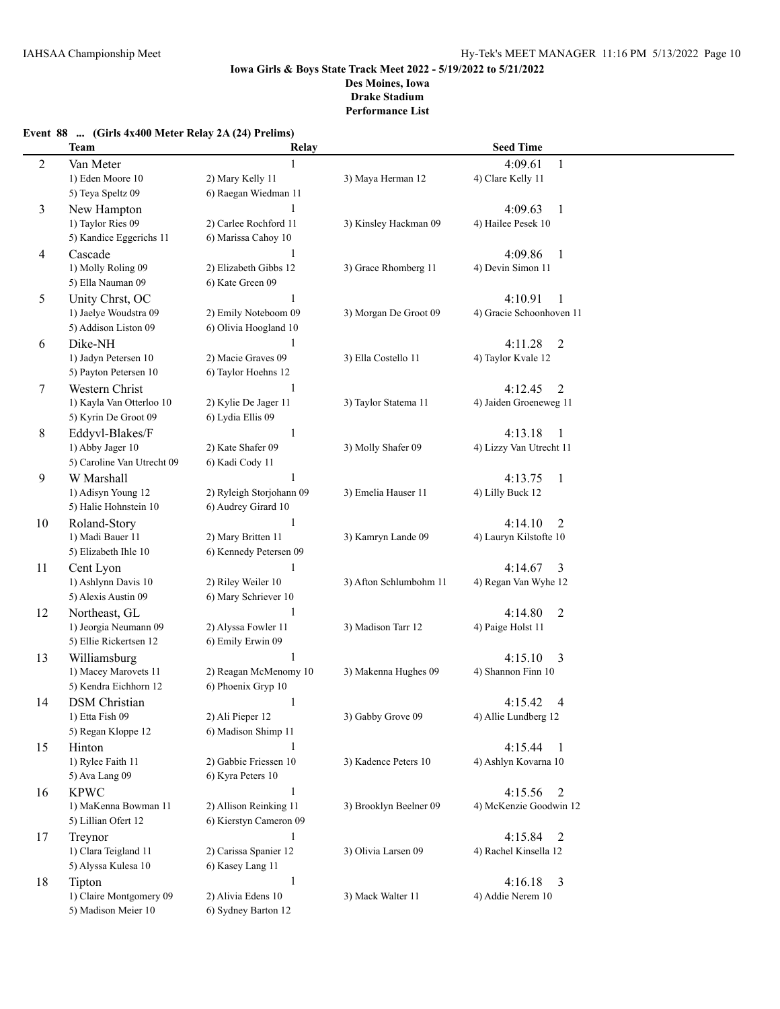## **Event 88 ... (Girls 4x400 Meter Relay 2A (24) Prelims)**

|                | <b>Team</b>                                    | Relay                                     |                        | <b>Seed Time</b>          |  |
|----------------|------------------------------------------------|-------------------------------------------|------------------------|---------------------------|--|
| $\overline{c}$ | Van Meter                                      |                                           |                        | 4:09.61<br>1              |  |
|                | 1) Eden Moore 10                               | 2) Mary Kelly 11                          | 3) Maya Herman 12      | 4) Clare Kelly 11         |  |
|                | 5) Teya Speltz 09                              | 6) Raegan Wiedman 11                      |                        |                           |  |
| 3              | New Hampton                                    | 1                                         |                        | 4:09.63<br>$\mathbf{1}$   |  |
|                | 1) Taylor Ries 09                              | 2) Carlee Rochford 11                     | 3) Kinsley Hackman 09  | 4) Hailee Pesek 10        |  |
|                | 5) Kandice Eggerichs 11                        | 6) Marissa Cahoy 10                       |                        |                           |  |
| 4              | Cascade                                        | 1                                         |                        | 4:09.86<br>$\mathbf{1}$   |  |
|                | 1) Molly Roling 09                             | 2) Elizabeth Gibbs 12                     | 3) Grace Rhomberg 11   | 4) Devin Simon 11         |  |
|                | 5) Ella Nauman 09                              | 6) Kate Green 09                          |                        |                           |  |
| 5              | Unity Chrst, OC                                | $\mathbf{1}$                              |                        | 4:10.91<br>1              |  |
|                | 1) Jaelye Woudstra 09                          | 2) Emily Noteboom 09                      | 3) Morgan De Groot 09  | 4) Gracie Schoonhoven 11  |  |
|                | 5) Addison Liston 09                           | 6) Olivia Hoogland 10                     |                        |                           |  |
| 6              | Dike-NH                                        | $\mathbf{1}$                              |                        | 4:11.28<br>$\overline{2}$ |  |
|                | 1) Jadyn Petersen 10                           | 2) Macie Graves 09                        | 3) Ella Costello 11    | 4) Taylor Kvale 12        |  |
|                | 5) Payton Petersen 10                          | 6) Taylor Hoehns 12                       |                        |                           |  |
| 7              | Western Christ                                 | 1                                         |                        | 4:12.45<br>$\overline{2}$ |  |
|                | 1) Kayla Van Otterloo 10                       | 2) Kylie De Jager 11                      | 3) Taylor Statema 11   | 4) Jaiden Groeneweg 11    |  |
|                | 5) Kyrin De Groot 09                           | 6) Lydia Ellis 09                         |                        |                           |  |
| 8              | Eddyvl-Blakes/F                                | $\mathbf{1}$                              |                        | 4:13.18<br>1              |  |
|                | 1) Abby Jager 10                               | 2) Kate Shafer 09                         | 3) Molly Shafer 09     | 4) Lizzy Van Utrecht 11   |  |
|                | 5) Caroline Van Utrecht 09                     | 6) Kadi Cody 11                           |                        |                           |  |
| 9              | W Marshall                                     | 1                                         |                        | 4:13.75<br>1              |  |
|                | 1) Adisyn Young 12                             | 2) Ryleigh Storjohann 09                  | 3) Emelia Hauser 11    | 4) Lilly Buck 12          |  |
|                | 5) Halie Hohnstein 10                          | 6) Audrey Girard 10                       |                        |                           |  |
| 10             | Roland-Story                                   | 1                                         |                        | 4:14.10<br>2              |  |
|                | 1) Madi Bauer 11                               | 2) Mary Britten 11                        | 3) Kamryn Lande 09     | 4) Lauryn Kilstofte 10    |  |
|                | 5) Elizabeth Ihle 10                           | 6) Kennedy Petersen 09                    |                        |                           |  |
| 11             | Cent Lyon                                      | $\mathbf{1}$                              |                        | 4:14.67<br>3              |  |
|                | 1) Ashlynn Davis 10                            | 2) Riley Weiler 10                        | 3) Afton Schlumbohm 11 | 4) Regan Van Wyhe 12      |  |
|                | 5) Alexis Austin 09                            | 6) Mary Schriever 10                      |                        |                           |  |
| 12             | Northeast, GL                                  | $\mathbf{1}$                              |                        | 4:14.80<br>$\overline{2}$ |  |
|                | 1) Jeorgia Neumann 09                          | 2) Alyssa Fowler 11                       | 3) Madison Tarr 12     | 4) Paige Holst 11         |  |
|                | 5) Ellie Rickertsen 12                         | 6) Emily Erwin 09                         |                        |                           |  |
| 13             | Williamsburg                                   | 1                                         |                        | 4:15.10<br>3              |  |
|                | 1) Macey Marovets 11                           | 2) Reagan McMenomy 10                     | 3) Makenna Hughes 09   | 4) Shannon Finn 10        |  |
|                | 5) Kendra Eichhorn 12                          | 6) Phoenix Gryp 10                        |                        |                           |  |
| 14             | <b>DSM</b> Christian                           | 1                                         |                        | 4:15.42<br>4              |  |
|                | 1) Etta Fish 09                                | 2) Ali Pieper 12                          | 3) Gabby Grove 09      | 4) Allie Lundberg 12      |  |
|                | 5) Regan Kloppe 12                             | 6) Madison Shimp 11                       |                        |                           |  |
| 15             | Hinton                                         | 1                                         |                        | 4:15.44<br>-1             |  |
|                | 1) Rylee Faith 11                              | 2) Gabbie Friessen 10                     | 3) Kadence Peters 10   | 4) Ashlyn Kovarna 10      |  |
|                | 5) Ava Lang 09                                 | 6) Kyra Peters 10                         |                        |                           |  |
| 16             | <b>KPWC</b>                                    | $\mathbf{1}$                              |                        | 4:15.56<br>2              |  |
|                | 1) MaKenna Bowman 11                           | 2) Allison Reinking 11                    | 3) Brooklyn Beelner 09 | 4) McKenzie Goodwin 12    |  |
|                | 5) Lillian Ofert 12                            | 6) Kierstyn Cameron 09                    |                        |                           |  |
| 17             | Treynor                                        | 1                                         |                        | 4:15.84<br>2              |  |
|                | 1) Clara Teigland 11                           | 2) Carissa Spanier 12                     | 3) Olivia Larsen 09    | 4) Rachel Kinsella 12     |  |
|                | 5) Alyssa Kulesa 10                            | 6) Kasey Lang 11                          |                        |                           |  |
| 18             | Tipton                                         | $\mathbf{1}$                              |                        | 4:16.18<br>3              |  |
|                | 1) Claire Montgomery 09<br>5) Madison Meier 10 | 2) Alivia Edens 10<br>6) Sydney Barton 12 | 3) Mack Walter 11      | 4) Addie Nerem 10         |  |
|                |                                                |                                           |                        |                           |  |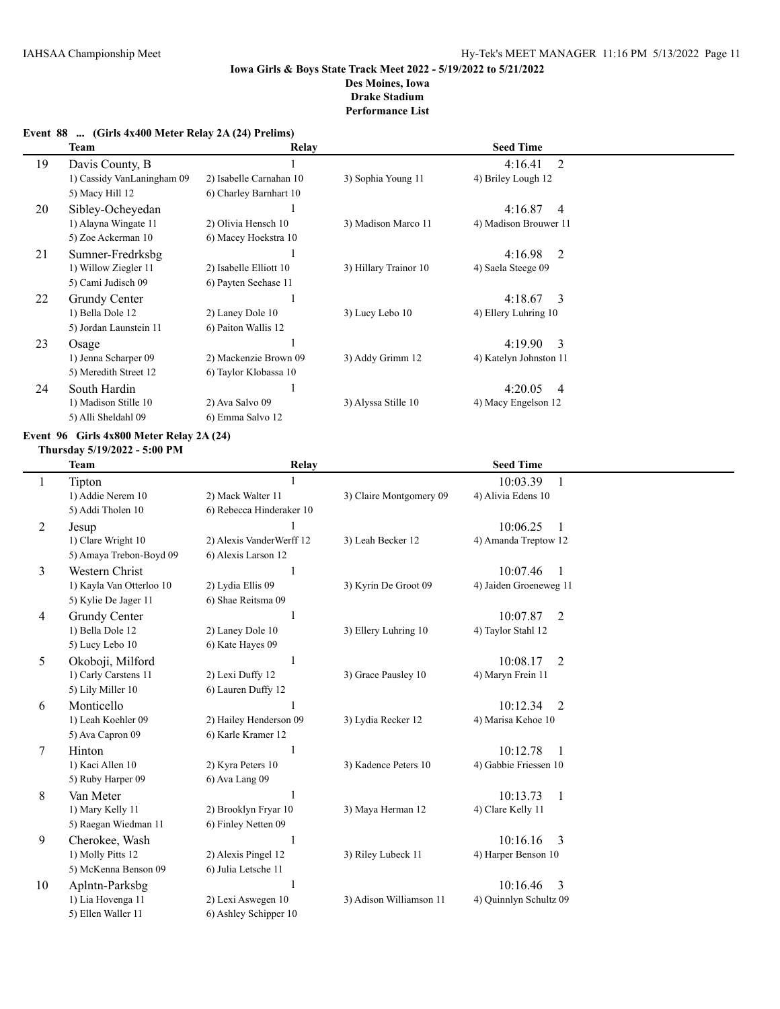# **Event 88 ... (Girls 4x400 Meter Relay 2A (24) Prelims)**

|    | Team                       | Relay                   |                       | <b>Seed Time</b>          |  |
|----|----------------------------|-------------------------|-----------------------|---------------------------|--|
| 19 | Davis County, B            |                         |                       | 2<br>4:16.41              |  |
|    | 1) Cassidy VanLaningham 09 | 2) Isabelle Carnahan 10 | 3) Sophia Young 11    | 4) Briley Lough 12        |  |
|    | 5) Macy Hill 12            | 6) Charley Barnhart 10  |                       |                           |  |
| 20 | Sibley-Ocheyedan           |                         |                       | 4:16.87<br>4              |  |
|    | 1) Alayna Wingate 11       | 2) Olivia Hensch 10     | 3) Madison Marco 11   | 4) Madison Brouwer 11     |  |
|    | 5) Zoe Ackerman 10         | 6) Macey Hoekstra 10    |                       |                           |  |
| 21 | Sumner-Fredrksbg           |                         |                       | 4:16.98<br>2              |  |
|    | 1) Willow Ziegler 11       | 2) Isabelle Elliott 10  | 3) Hillary Trainor 10 | 4) Saela Steege 09        |  |
|    | 5) Cami Judisch 09         | 6) Payten Seehase 11    |                       |                           |  |
| 22 | Grundy Center              |                         |                       | 4:18.67<br>-3             |  |
|    | 1) Bella Dole 12           | 2) Laney Dole 10        | 3) Lucy Lebo 10       | 4) Ellery Luhring 10      |  |
|    | 5) Jordan Launstein 11     | 6) Paiton Wallis 12     |                       |                           |  |
| 23 | Osage                      |                         |                       | 4:19.90<br>$\mathcal{E}$  |  |
|    | 1) Jenna Scharper 09       | 2) Mackenzie Brown 09   | 3) Addy Grimm 12      | 4) Katelyn Johnston 11    |  |
|    | 5) Meredith Street 12      | 6) Taylor Klobassa 10   |                       |                           |  |
| 24 | South Hardin               |                         |                       | 4:20.05<br>$\overline{4}$ |  |
|    | 1) Madison Stille 10       | 2) Ava Salvo 09         | 3) Alyssa Stille 10   | 4) Macy Engelson 12       |  |
|    | 5) Alli Sheldahl 09        | 6) Emma Salvo 12        |                       |                           |  |

#### **Event 96 Girls 4x800 Meter Relay 2A (24)**

#### **Thursday 5/19/2022 - 5:00 PM**

| Team                     | Relay                                                                                                       |                                                                                  | <b>Seed Time</b>       |                       |
|--------------------------|-------------------------------------------------------------------------------------------------------------|----------------------------------------------------------------------------------|------------------------|-----------------------|
| Tipton                   |                                                                                                             |                                                                                  | 10:03.39               |                       |
| 1) Addie Nerem 10        | 2) Mack Walter 11                                                                                           | 3) Claire Montgomery 09                                                          | 4) Alivia Edens 10     |                       |
| 5) Addi Tholen 10        | 6) Rebecca Hinderaker 10                                                                                    |                                                                                  |                        |                       |
| Jesup                    |                                                                                                             |                                                                                  | 10:06.25               |                       |
| 1) Clare Wright 10       | 2) Alexis VanderWerff 12                                                                                    | 3) Leah Becker 12                                                                | 4) Amanda Treptow 12   |                       |
|                          | 6) Alexis Larson 12                                                                                         |                                                                                  |                        |                       |
| Western Christ           | 1                                                                                                           |                                                                                  | 10:07.46               |                       |
| 1) Kayla Van Otterloo 10 | 2) Lydia Ellis 09                                                                                           | 3) Kyrin De Groot 09                                                             | 4) Jaiden Groeneweg 11 |                       |
| 5) Kylie De Jager 11     | 6) Shae Reitsma 09                                                                                          |                                                                                  |                        |                       |
| Grundy Center            | 1                                                                                                           |                                                                                  | 10:07.87<br>2          |                       |
| 1) Bella Dole 12         |                                                                                                             | 3) Ellery Luhring 10                                                             | 4) Taylor Stahl 12     |                       |
|                          | 6) Kate Hayes 09                                                                                            |                                                                                  |                        |                       |
| Okoboji, Milford         | 1                                                                                                           |                                                                                  | 10:08.17<br>2          |                       |
| 1) Carly Carstens 11     |                                                                                                             | 3) Grace Pausley 10                                                              | 4) Maryn Frein 11      |                       |
|                          |                                                                                                             |                                                                                  |                        |                       |
| Monticello               |                                                                                                             |                                                                                  | 10:12.34<br>2          |                       |
| 1) Leah Koehler 09       | 2) Hailey Henderson 09                                                                                      |                                                                                  | 4) Marisa Kehoe 10     |                       |
|                          |                                                                                                             |                                                                                  |                        |                       |
| Hinton                   | 1                                                                                                           |                                                                                  | 10:12.78               |                       |
| 1) Kaci Allen 10         | 2) Kyra Peters 10                                                                                           | 3) Kadence Peters 10                                                             |                        |                       |
| 5) Ruby Harper 09        | 6) Ava Lang 09                                                                                              |                                                                                  |                        |                       |
| Van Meter                | 1                                                                                                           |                                                                                  | 10:13.73<br>1          |                       |
| 1) Mary Kelly 11         | 2) Brooklyn Fryar 10                                                                                        | 3) Maya Herman 12                                                                | 4) Clare Kelly 11      |                       |
| 5) Raegan Wiedman 11     | 6) Finley Netten 09                                                                                         |                                                                                  |                        |                       |
| Cherokee, Wash           |                                                                                                             |                                                                                  | 10:16.16<br>3          |                       |
| 1) Molly Pitts 12        | 2) Alexis Pingel 12                                                                                         | 3) Riley Lubeck 11                                                               | 4) Harper Benson 10    |                       |
|                          | 6) Julia Letsche 11                                                                                         |                                                                                  |                        |                       |
| Aplntn-Parksbg           |                                                                                                             |                                                                                  | 10:16.46<br>3          |                       |
| 1) Lia Hovenga 11        | 2) Lexi Aswegen 10                                                                                          | 3) Adison Williamson 11                                                          | 4) Quinnlyn Schultz 09 |                       |
| 5) Ellen Waller 11       | 6) Ashley Schipper 10                                                                                       |                                                                                  |                        |                       |
|                          | 5) Amaya Trebon-Boyd 09<br>5) Lucy Lebo 10<br>5) Lily Miller 10<br>5) Ava Capron 09<br>5) McKenna Benson 09 | 2) Laney Dole 10<br>2) Lexi Duffy 12<br>6) Lauren Duffy 12<br>6) Karle Kramer 12 | 3) Lydia Recker 12     | 4) Gabbie Friessen 10 |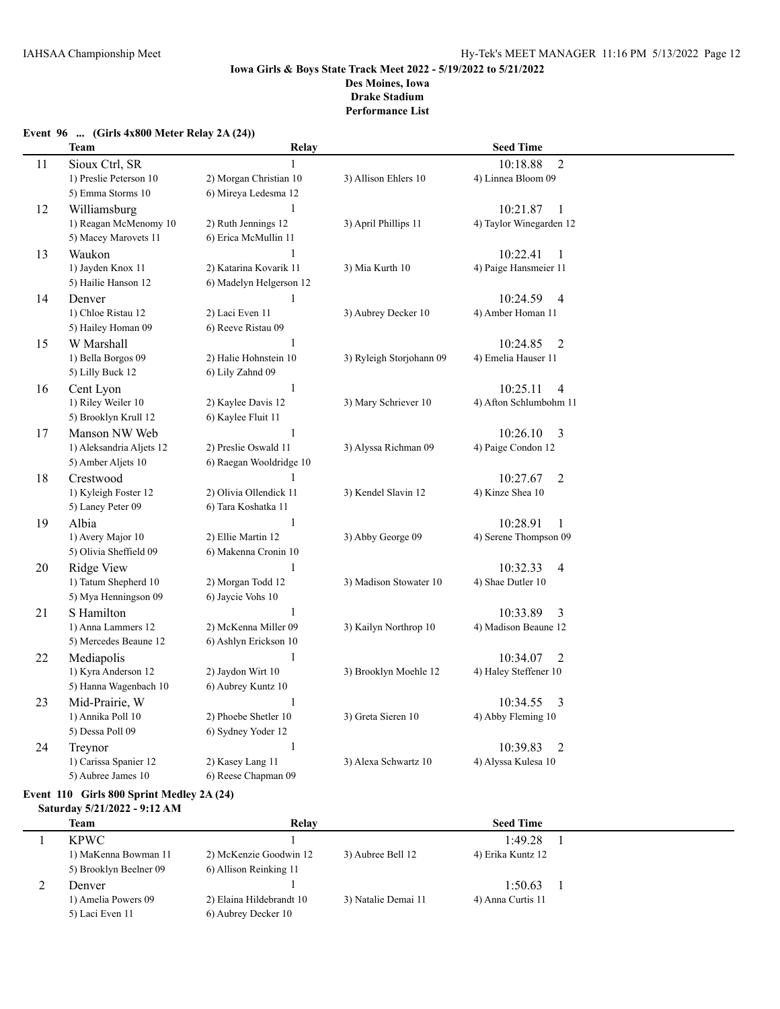|    | <b>Team</b>                                 | Relay                                      |                          | <b>Seed Time</b>                   |  |
|----|---------------------------------------------|--------------------------------------------|--------------------------|------------------------------------|--|
| 11 | Sioux Ctrl, SR                              | $\mathbf{1}$                               |                          | $\overline{2}$<br>10:18.88         |  |
|    | 1) Preslie Peterson 10                      | 2) Morgan Christian 10                     | 3) Allison Ehlers 10     | 4) Linnea Bloom 09                 |  |
|    | 5) Emma Storms 10                           | 6) Mireya Ledesma 12                       |                          |                                    |  |
| 12 | Williamsburg                                | $\mathbf{1}$                               |                          | 10:21.87<br>$\overline{1}$         |  |
|    | 1) Reagan McMenomy 10                       | 2) Ruth Jennings 12                        | 3) April Phillips 11     | 4) Taylor Winegarden 12            |  |
|    | 5) Macey Marovets 11                        | 6) Erica McMullin 11                       |                          |                                    |  |
| 13 | Waukon                                      | 1                                          |                          | 10:22.41<br>1                      |  |
|    | 1) Jayden Knox 11                           | 2) Katarina Kovarik 11                     | 3) Mia Kurth 10          | 4) Paige Hansmeier 11              |  |
|    | 5) Hailie Hanson 12                         | 6) Madelyn Helgerson 12                    |                          |                                    |  |
| 14 | Denver                                      | 1                                          |                          | 10:24.59<br>$\overline{4}$         |  |
|    | 1) Chloe Ristau 12                          | 2) Laci Even 11                            | 3) Aubrey Decker 10      | 4) Amber Homan 11                  |  |
|    | 5) Hailey Homan 09                          | 6) Reeve Ristau 09                         |                          |                                    |  |
| 15 | W Marshall                                  | 1                                          |                          | 10:24.85<br>$\overline{2}$         |  |
|    | 1) Bella Borgos 09                          | 2) Halie Hohnstein 10                      | 3) Ryleigh Storjohann 09 | 4) Emelia Hauser 11                |  |
|    | 5) Lilly Buck 12                            | 6) Lily Zahnd 09                           |                          |                                    |  |
| 16 | Cent Lyon                                   | $\mathbf{1}$                               |                          | $\overline{4}$<br>10:25.11         |  |
|    | 1) Riley Weiler 10                          | 2) Kaylee Davis 12                         | 3) Mary Schriever 10     | 4) Afton Schlumbohm 11             |  |
|    | 5) Brooklyn Krull 12                        | 6) Kaylee Fluit 11                         |                          |                                    |  |
| 17 | Manson NW Web                               | $\mathbf{1}$                               |                          | 10:26.10<br>3                      |  |
|    | 1) Aleksandria Aljets 12                    | 2) Preslie Oswald 11                       | 3) Alyssa Richman 09     | 4) Paige Condon 12                 |  |
|    | 5) Amber Aljets 10                          | 6) Raegan Wooldridge 10                    |                          |                                    |  |
| 18 | Crestwood                                   |                                            |                          | 10:27.67<br>$\overline{2}$         |  |
|    | 1) Kyleigh Foster 12                        | 2) Olivia Ollendick 11                     | 3) Kendel Slavin 12      | 4) Kinze Shea 10                   |  |
|    | 5) Laney Peter 09                           | 6) Tara Koshatka 11                        |                          |                                    |  |
| 19 | Albia                                       | $\mathbf{1}$                               |                          | 10:28.91<br>$\mathbf{1}$           |  |
|    | 1) Avery Major 10<br>5) Olivia Sheffield 09 | 2) Ellie Martin 12<br>6) Makenna Cronin 10 | 3) Abby George 09        | 4) Serene Thompson 09              |  |
|    |                                             | $\mathbf{1}$                               |                          |                                    |  |
| 20 | <b>Ridge View</b><br>1) Tatum Shepherd 10   | 2) Morgan Todd 12                          | 3) Madison Stowater 10   | 10:32.33<br>4<br>4) Shae Dutler 10 |  |
|    | 5) Mya Henningson 09                        | 6) Jaycie Vohs 10                          |                          |                                    |  |
| 21 | S Hamilton                                  | $\mathbf{1}$                               |                          | 3<br>10:33.89                      |  |
|    | 1) Anna Lammers 12                          | 2) McKenna Miller 09                       | 3) Kailyn Northrop 10    | 4) Madison Beaune 12               |  |
|    | 5) Mercedes Beaune 12                       | 6) Ashlyn Erickson 10                      |                          |                                    |  |
| 22 | Mediapolis                                  | 1                                          |                          | 10:34.07<br>$\overline{2}$         |  |
|    | 1) Kyra Anderson 12                         | 2) Jaydon Wirt 10                          | 3) Brooklyn Moehle 12    | 4) Haley Steffener 10              |  |
|    | 5) Hanna Wagenbach 10                       | 6) Aubrey Kuntz 10                         |                          |                                    |  |
| 23 | Mid-Prairie, W                              | 1                                          |                          | 3<br>10:34.55                      |  |
|    | 1) Annika Poll 10                           | 2) Phoebe Shetler 10                       | 3) Greta Sieren 10       | 4) Abby Fleming 10                 |  |
|    | 5) Dessa Poll 09                            | 6) Sydney Yoder 12                         |                          |                                    |  |
| 24 | Treynor                                     | $\mathbf{1}$                               |                          | 10:39.83<br>$\overline{2}$         |  |
|    | 1) Carissa Spanier 12                       | 2) Kasey Lang 11                           | 3) Alexa Schwartz 10     | 4) Alyssa Kulesa 10                |  |
|    | 5) Aubree James 10                          | 6) Reese Chapman 09                        |                          |                                    |  |

### **Event 96 ... (Girls 4x800 Meter Relay 2A (24))**

# **Event 110 Girls 800 Sprint Medley 2A (24)**

## **Saturday 5/21/2022 - 9:12 AM**

| <b>Team</b>            | Relay                    |                     | <b>Seed Time</b>  |  |
|------------------------|--------------------------|---------------------|-------------------|--|
| <b>KPWC</b>            |                          |                     | 1:49.28           |  |
| 1) MaKenna Bowman 11   | 2) McKenzie Goodwin 12   | 3) Aubree Bell 12   | 4) Erika Kuntz 12 |  |
| 5) Brooklyn Beelner 09 | 6) Allison Reinking 11   |                     |                   |  |
| Denver                 |                          |                     | 1:50.63           |  |
| 1) Amelia Powers 09    | 2) Elaina Hildebrandt 10 | 3) Natalie Demai 11 | 4) Anna Curtis 11 |  |
| 5) Laci Even 11        | 6) Aubrey Decker 10      |                     |                   |  |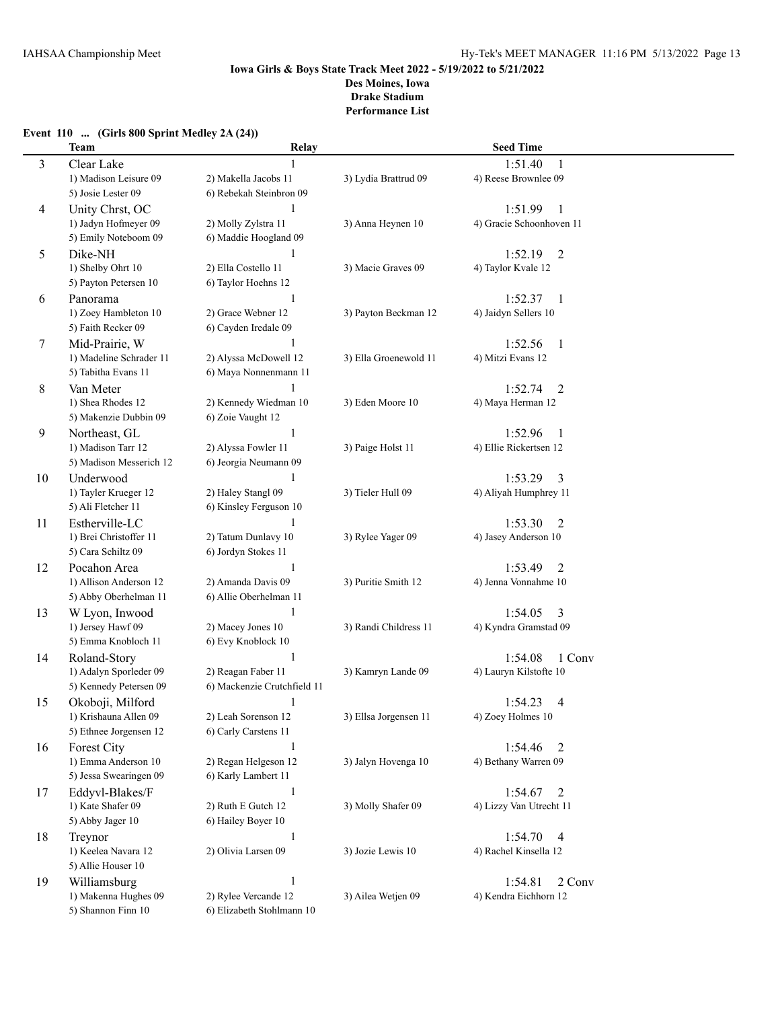## **Event 110 ... (Girls 800 Sprint Medley 2A (24))**

|    | <b>Team</b>                                     | Relay                                       |                       | <b>Seed Time</b>                            |  |
|----|-------------------------------------------------|---------------------------------------------|-----------------------|---------------------------------------------|--|
| 3  | Clear Lake                                      | 1                                           |                       | 1:51.40<br>1                                |  |
|    | 1) Madison Leisure 09                           | 2) Makella Jacobs 11                        | 3) Lydia Brattrud 09  | 4) Reese Brownlee 09                        |  |
|    | 5) Josie Lester 09                              | 6) Rebekah Steinbron 09                     |                       |                                             |  |
| 4  | Unity Chrst, OC                                 | $\mathbf{1}$                                |                       | 1:51.99<br>1                                |  |
|    | 1) Jadyn Hofmeyer 09                            | 2) Molly Zylstra 11                         | 3) Anna Heynen 10     | 4) Gracie Schoonhoven 11                    |  |
|    | 5) Emily Noteboom 09                            | 6) Maddie Hoogland 09                       |                       |                                             |  |
| 5  | Dike-NH                                         | 1                                           |                       | 1:52.19<br>$\overline{2}$                   |  |
|    | 1) Shelby Ohrt 10                               | 2) Ella Costello 11                         | 3) Macie Graves 09    | 4) Taylor Kvale 12                          |  |
|    | 5) Payton Petersen 10                           | 6) Taylor Hoehns 12                         |                       |                                             |  |
| 6  | Panorama                                        | 1                                           |                       | 1:52.37<br>1                                |  |
|    | 1) Zoey Hambleton 10                            | 2) Grace Webner 12                          | 3) Payton Beckman 12  | 4) Jaidyn Sellers 10                        |  |
|    | 5) Faith Recker 09                              | 6) Cayden Iredale 09                        |                       |                                             |  |
| 7  | Mid-Prairie, W                                  | 1                                           |                       | 1:52.56<br>1                                |  |
|    | 1) Madeline Schrader 11                         | 2) Alyssa McDowell 12                       | 3) Ella Groenewold 11 | 4) Mitzi Evans 12                           |  |
|    | 5) Tabitha Evans 11                             | 6) Maya Nonnenmann 11                       |                       |                                             |  |
| 8  | Van Meter                                       |                                             |                       | 1:52.74<br>2                                |  |
|    | 1) Shea Rhodes 12                               | 2) Kennedy Wiedman 10                       | 3) Eden Moore 10      | 4) Maya Herman 12                           |  |
|    | 5) Makenzie Dubbin 09                           | 6) Zoie Vaught 12                           |                       |                                             |  |
| 9  | Northeast, GL                                   | $\mathbf{1}$                                |                       | 1:52.96<br>1                                |  |
|    | 1) Madison Tarr 12                              | 2) Alyssa Fowler 11                         | 3) Paige Holst 11     | 4) Ellie Rickertsen 12                      |  |
|    | 5) Madison Messerich 12                         | 6) Jeorgia Neumann 09                       |                       |                                             |  |
| 10 | Underwood                                       | $\mathbf{1}$                                |                       | 1:53.29<br>3                                |  |
|    | 1) Tayler Krueger 12                            | 2) Haley Stangl 09                          | 3) Tieler Hull 09     | 4) Aliyah Humphrey 11                       |  |
|    | 5) Ali Fletcher 11                              | 6) Kinsley Ferguson 10                      |                       |                                             |  |
| 11 | Estherville-LC                                  | $\mathbf{1}$                                |                       | 1:53.30<br>2                                |  |
|    | 1) Brei Christoffer 11                          | 2) Tatum Dunlavy 10                         | 3) Rylee Yager 09     | 4) Jasey Anderson 10                        |  |
|    | 5) Cara Schiltz 09                              | 6) Jordyn Stokes 11                         |                       |                                             |  |
| 12 | Pocahon Area                                    | $\mathbf{1}$                                |                       | 1:53.49<br>2                                |  |
|    | 1) Allison Anderson 12                          | 2) Amanda Davis 09                          | 3) Puritie Smith 12   | 4) Jenna Vonnahme 10                        |  |
|    | 5) Abby Oberhelman 11                           | 6) Allie Oberhelman 11                      |                       |                                             |  |
| 13 |                                                 | 1                                           |                       | 1:54.05                                     |  |
|    | W Lyon, Inwood<br>1) Jersey Hawf 09             | 2) Macey Jones 10                           | 3) Randi Childress 11 | 3<br>4) Kyndra Gramstad 09                  |  |
|    | 5) Emma Knobloch 11                             | 6) Evy Knoblock 10                          |                       |                                             |  |
|    |                                                 | 1                                           |                       |                                             |  |
| 14 | Roland-Story<br>1) Adalyn Sporleder 09          | 2) Reagan Faber 11                          | 3) Kamryn Lande 09    | 1 Conv<br>1:54.08<br>4) Lauryn Kilstofte 10 |  |
|    | 5) Kennedy Petersen 09                          | 6) Mackenzie Crutchfield 11                 |                       |                                             |  |
|    | Okoboji, Milford                                | $\mathbf{1}$                                |                       | 1:54.23<br>4                                |  |
| 15 |                                                 |                                             |                       | 4) Zoey Holmes 10                           |  |
|    | 1) Krishauna Allen 09<br>5) Ethnee Jorgensen 12 | 2) Leah Sorenson 12<br>6) Carly Carstens 11 | 3) Ellsa Jorgensen 11 |                                             |  |
|    |                                                 |                                             |                       |                                             |  |
| 16 | Forest City<br>1) Emma Anderson 10              | $\mathbf{1}$<br>2) Regan Helgeson 12        | 3) Jalyn Hovenga 10   | 1:54.46<br>2<br>4) Bethany Warren 09        |  |
|    | 5) Jessa Swearingen 09                          | 6) Karly Lambert 11                         |                       |                                             |  |
|    |                                                 |                                             |                       |                                             |  |
| 17 | Eddyvl-Blakes/F                                 | $\mathbf{1}$                                |                       | 1:54.67<br>2                                |  |
|    | 1) Kate Shafer 09                               | 2) Ruth E Gutch 12                          | 3) Molly Shafer 09    | 4) Lizzy Van Utrecht 11                     |  |
|    | 5) Abby Jager 10                                | 6) Hailey Boyer 10                          |                       |                                             |  |
| 18 | Treynor                                         | $\mathbf{1}$                                |                       | 1:54.70<br>$\overline{4}$                   |  |
|    | 1) Keelea Navara 12                             | 2) Olivia Larsen 09                         | 3) Jozie Lewis 10     | 4) Rachel Kinsella 12                       |  |
|    | 5) Allie Houser 10                              |                                             |                       |                                             |  |
| 19 | Williamsburg                                    | $\mathbf{1}$                                |                       | 1:54.81<br>2 Conv                           |  |
|    | 1) Makenna Hughes 09                            | 2) Rylee Vercande 12                        | 3) Ailea Wetjen 09    | 4) Kendra Eichhorn 12                       |  |
|    | 5) Shannon Finn 10                              | 6) Elizabeth Stohlmann 10                   |                       |                                             |  |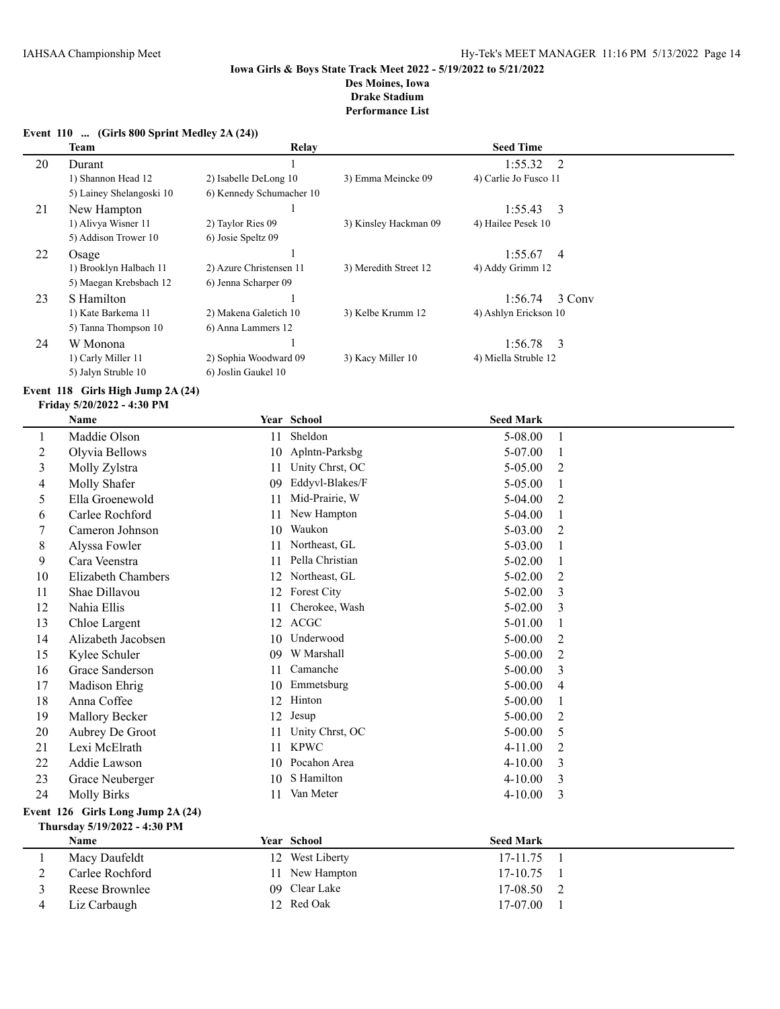### **Event 110 ... (Girls 800 Sprint Medley 2A (24))**

|    | <b>Team</b>              | Relay                    |                       | <b>Seed Time</b>          |  |
|----|--------------------------|--------------------------|-----------------------|---------------------------|--|
| 20 | Durant                   |                          |                       | $1:55.32 \quad 2$         |  |
|    | 1) Shannon Head 12       | 2) Isabelle DeLong 10    | 3) Emma Meincke 09    | 4) Carlie Jo Fusco 11     |  |
|    | 5) Lainey Shelangoski 10 | 6) Kennedy Schumacher 10 |                       |                           |  |
| 21 | New Hampton              |                          |                       | $1:55.43$ 3               |  |
|    | 1) Alivya Wisner 11      | 2) Taylor Ries 09        | 3) Kinsley Hackman 09 | 4) Hailee Pesek 10        |  |
|    | 5) Addison Trower 10     | 6) Josie Speltz 09       |                       |                           |  |
| 22 | Osage                    |                          |                       | 1:55.67<br>$\overline{4}$ |  |
|    | 1) Brooklyn Halbach 11   | 2) Azure Christensen 11  | 3) Meredith Street 12 | 4) Addy Grimm 12          |  |
|    | 5) Maegan Krebsbach 12   | 6) Jenna Scharper 09     |                       |                           |  |
| 23 | S Hamilton               |                          |                       | 1:56.74<br>3 Conv         |  |
|    | 1) Kate Barkema 11       | 2) Makena Galetich 10    | 3) Kelbe Krumm 12     | 4) Ashlyn Erickson 10     |  |
|    | 5) Tanna Thompson 10     | 6) Anna Lammers 12       |                       |                           |  |
| 24 | W Monona                 |                          |                       | $1:56.78$ 3               |  |
|    | 1) Carly Miller 11       | 2) Sophia Woodward 09    | 3) Kacy Miller 10     | 4) Miella Struble 12      |  |
|    | 5) Jalyn Struble 10      | 6) Joslin Gaukel 10      |                       |                           |  |

### **Event 118 Girls High Jump 2A (24)**

|                                   | <b>Name</b>               |    | Year School     | <b>Seed Mark</b> |                |
|-----------------------------------|---------------------------|----|-----------------|------------------|----------------|
| 1                                 | Maddie Olson              | 11 | Sheldon         | 5-08.00          | 1              |
| $\overline{c}$                    | Olyvia Bellows            | 10 | Aplntn-Parksbg  | 5-07.00          | 1              |
| 3                                 | Molly Zylstra             | 11 | Unity Chrst, OC | 5-05.00          | 2              |
| 4                                 | Molly Shafer              | 09 | Eddyvl-Blakes/F | 5-05.00          | 1              |
| 5                                 | Ella Groenewold           | 11 | Mid-Prairie, W  | $5-04.00$        | 2              |
| 6                                 | Carlee Rochford           | 11 | New Hampton     | $5-04.00$        | 1              |
| 7                                 | Cameron Johnson           | 10 | Waukon          | 5-03.00          | 2              |
| 8                                 | Alyssa Fowler             | 11 | Northeast, GL   | 5-03.00          | 1              |
| 9                                 | Cara Veenstra             | 11 | Pella Christian | $5 - 02.00$      | 1              |
| 10                                | <b>Elizabeth Chambers</b> | 12 | Northeast, GL   | $5 - 02.00$      | 2              |
| 11                                | Shae Dillavou             | 12 | Forest City     | $5 - 02.00$      | 3              |
| 12                                | Nahia Ellis               | 11 | Cherokee, Wash  | $5 - 02.00$      | 3              |
| 13                                | Chloe Largent             | 12 | <b>ACGC</b>     | 5-01.00          |                |
| 14                                | Alizabeth Jacobsen        | 10 | Underwood       | $5 - 00.00$      | 2              |
| 15                                | Kylee Schuler             | 09 | W Marshall      | $5 - 00.00$      | 2              |
| 16                                | Grace Sanderson           | 11 | Camanche        | $5 - 00.00$      | 3              |
| 17                                | Madison Ehrig             | 10 | Emmetsburg      | $5 - 00.00$      | 4              |
| 18                                | Anna Coffee               | 12 | Hinton          | $5 - 00.00$      | 1              |
| 19                                | Mallory Becker            | 12 | Jesup           | $5 - 00.00$      | 2              |
| 20                                | Aubrey De Groot           | 11 | Unity Chrst, OC | $5 - 00.00$      | 5              |
| 21                                | Lexi McElrath             | 11 | <b>KPWC</b>     | $4 - 11.00$      | $\overline{2}$ |
| 22                                | Addie Lawson              | 10 | Pocahon Area    | $4 - 10.00$      | 3              |
| 23                                | Grace Neuberger           | 10 | S Hamilton      | $4 - 10.00$      | 3              |
| 24                                | <b>Molly Birks</b>        | 11 | Van Meter       | $4 - 10.00$      | 3              |
| Event 126 Girls Long Jump 2A (24) |                           |    |                 |                  |                |
| Thursday 5/19/2022 - 4:30 PM      |                           |    |                 |                  |                |
|                                   | Name                      |    | Year School     | <b>Seed Mark</b> |                |
| $\mathbf{1}$                      | Macy Daufeldt             | 12 | West Liberty    | 17-11.75         | $\mathbf{1}$   |
| $\overline{2}$                    | Carlee Rochford           | 11 | New Hampton     | 17-10.75         | 1              |
| 3                                 | Reese Brownlee            | 09 | Clear Lake      | 17-08.50         | 2              |
| 4                                 | Liz Carbaugh              |    | 12 Red Oak      | 17-07.00         | $\mathbf{1}$   |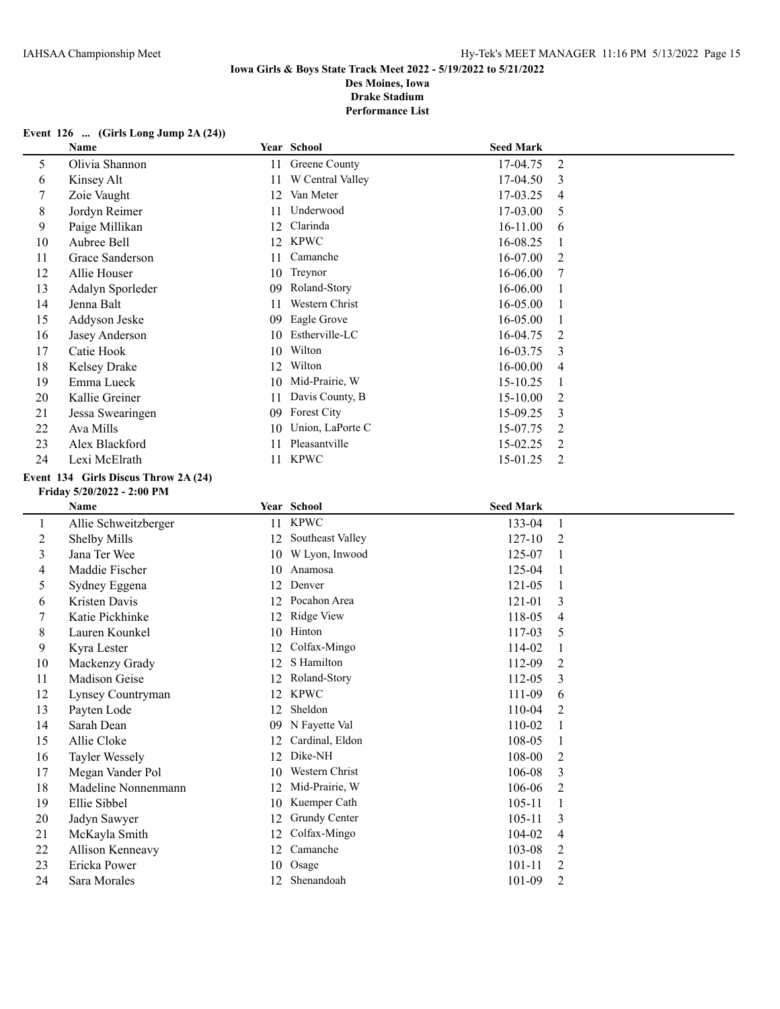## **Event 126 ... (Girls Long Jump 2A (24))**

|                          | Name                                 |    | Year School         | <b>Seed Mark</b> |                |
|--------------------------|--------------------------------------|----|---------------------|------------------|----------------|
| 5                        | Olivia Shannon                       |    | 11 Greene County    | 17-04.75         | $\overline{2}$ |
| 6                        | Kinsey Alt                           | 11 | W Central Valley    | 17-04.50         | 3              |
| $\overline{7}$           | Zoie Vaught                          | 12 | Van Meter           | 17-03.25         | 4              |
| $\,8\,$                  | Jordyn Reimer                        | 11 | Underwood           | 17-03.00         | 5              |
| 9                        | Paige Millikan                       |    | 12 Clarinda         | 16-11.00         | 6              |
| 10                       | Aubree Bell                          |    | 12 KPWC             | 16-08.25         | $\mathbf{1}$   |
| 11                       | Grace Sanderson                      | 11 | Camanche            | 16-07.00         | $\overline{2}$ |
| 12                       | Allie Houser                         | 10 | Treynor             | 16-06.00         | 7              |
| 13                       | Adalyn Sporleder                     | 09 | Roland-Story        | 16-06.00         | 1              |
| 14                       | Jenna Balt                           | 11 | Western Christ      | 16-05.00         | $\mathbf{1}$   |
| 15                       | Addyson Jeske                        | 09 | Eagle Grove         | 16-05.00         | 1              |
| 16                       | Jasey Anderson                       | 10 | Estherville-LC      | 16-04.75         | $\overline{2}$ |
| 17                       | Catie Hook                           | 10 | Wilton              | 16-03.75         | 3              |
| 18                       | Kelsey Drake                         | 12 | Wilton              | 16-00.00         | 4              |
| 19                       | Emma Lueck                           | 10 | Mid-Prairie, W      | 15-10.25         | $\mathbf{1}$   |
| 20                       | Kallie Greiner                       | 11 | Davis County, B     | 15-10.00         | $\overline{c}$ |
| 21                       | Jessa Swearingen                     | 09 | Forest City         | 15-09.25         | 3              |
| 22                       | Ava Mills                            | 10 | Union, LaPorte C    | 15-07.75         | $\overline{2}$ |
| 23                       | Alex Blackford                       | 11 | Pleasantville       | 15-02.25         | $\overline{2}$ |
| 24                       | Lexi McElrath                        |    | 11 KPWC             | 15-01.25         | 2              |
|                          | Event 134 Girls Discus Throw 2A (24) |    |                     |                  |                |
|                          | Friday 5/20/2022 - 2:00 PM           |    |                     |                  |                |
|                          | Name                                 |    | Year School         | <b>Seed Mark</b> |                |
| $\mathbf{1}$             | Allie Schweitzberger                 |    | 11 KPWC             | 133-04           | $\mathbf{1}$   |
| $\overline{c}$           | Shelby Mills                         |    | 12 Southeast Valley | 127-10           | $\overline{2}$ |
| $\mathfrak{Z}$           | Jana Ter Wee                         |    | 10 W Lyon, Inwood   | 125-07           | $\mathbf{1}$   |
| $\overline{\mathcal{A}}$ | Maddie Fischer                       |    | 10 Anamosa          | 125-04           | $\mathbf{1}$   |
| 5                        | Sydney Eggena                        |    | 12 Denver           | 121-05           | $\mathbf{1}$   |
| 6                        | Kristen Davis                        |    | 12 Pocahon Area     | 121-01           | 3              |
| $\tau$                   | Katie Pickhinke                      | 12 | Ridge View          | 118-05           | 4              |
| $\,8\,$                  | Lauren Kounkel                       |    | 10 Hinton           | 117-03           | 5              |
| 9                        | Kyra Lester                          | 12 | Colfax-Mingo        | 114-02           | 1              |
| 10                       | Mackenzy Grady                       | 12 | S Hamilton          | 112-09           | $\overline{c}$ |
| 11                       | Madison Geise                        | 12 | Roland-Story        | 112-05           | 3              |
| 12                       | Lynsey Countryman                    | 12 | <b>KPWC</b>         | 111-09           | 6              |
| 13                       | Payten Lode                          |    | 12 Sheldon          | 110-04           | 2              |
| 14                       | Sarah Dean                           |    | 09 N Fayette Val    | 110-02           | 1              |
| 15                       | Allie Cloke                          | 12 | Cardinal, Eldon     | 108-05           | 1              |
| 16                       | <b>Tayler Wessely</b>                | 12 | Dike-NH             | 108-00           | $\overline{c}$ |
| 17                       | Megan Vander Pol                     | 10 | Western Christ      | 106-08           | 3              |
| 18                       | Madeline Nonnenmann                  | 12 | Mid-Prairie, W      | 106-06           | 2              |
| 19                       | Ellie Sibbel                         | 10 | Kuemper Cath        | $105 - 11$       | 1              |
| 20                       | Jadyn Sawyer                         | 12 | Grundy Center       | $105 - 11$       | 3              |
| 21                       | McKayla Smith                        | 12 | Colfax-Mingo        | 104-02           | 4              |
| 22                       | Allison Kenneavy                     | 12 | Camanche            | 103-08           | 2              |
| 23                       | Ericka Power                         |    | 10 Osage            | $101 - 11$       | $\overline{2}$ |
| 24                       | Sara Morales                         |    | 12 Shenandoah       | 101-09           | $\overline{2}$ |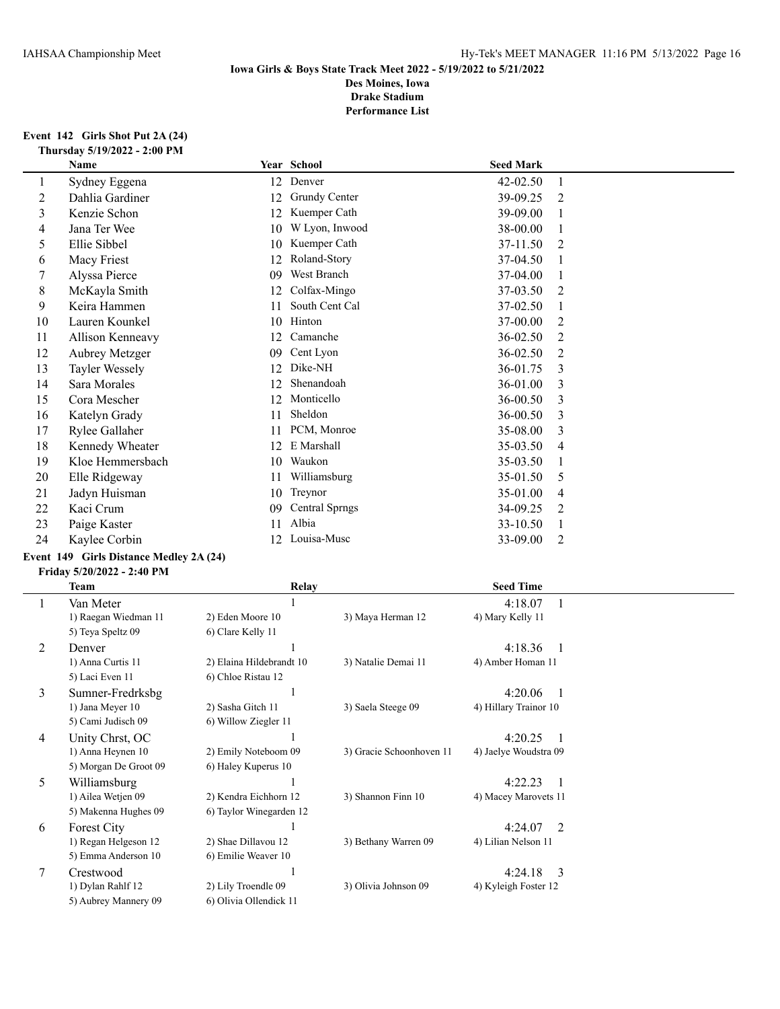#### **Event 142 Girls Shot Put 2A (24) Thursday 5/19/2022 - 2:00 PM**

| Name             |    |                       | <b>Seed Mark</b>      |   |
|------------------|----|-----------------------|-----------------------|---|
| Sydney Eggena    | 12 |                       | 42-02.50              |   |
| Dahlia Gardiner  | 12 | Grundy Center         | 39-09.25              | 2 |
| Kenzie Schon     | 12 | Kuemper Cath          | 39-09.00              |   |
| Jana Ter Wee     | 10 | W Lyon, Inwood        | 38-00.00              |   |
| Ellie Sibbel     | 10 | Kuemper Cath          | 37-11.50              | 2 |
| Macy Friest      | 12 | Roland-Story          | 37-04.50              |   |
| Alyssa Pierce    | 09 | West Branch           | 37-04.00              |   |
| McKayla Smith    | 12 | Colfax-Mingo          | 37-03.50              | 2 |
| Keira Hammen     | 11 | South Cent Cal        | 37-02.50              |   |
| Lauren Kounkel   | 10 | Hinton                | 37-00.00              | 2 |
| Allison Kenneavy | 12 | Camanche              | 36-02.50              | 2 |
| Aubrey Metzger   | 09 | Cent Lyon             | 36-02.50              | 2 |
| Tayler Wessely   | 12 | Dike-NH               | 36-01.75              | 3 |
| Sara Morales     | 12 | Shenandoah            | 36-01.00              | 3 |
| Cora Mescher     | 12 | Monticello            | 36-00.50              | 3 |
| Katelyn Grady    | 11 | Sheldon               | 36-00.50              | 3 |
| Rylee Gallaher   | 11 | PCM, Monroe           | 35-08.00              | 3 |
| Kennedy Wheater  | 12 | E Marshall            | 35-03.50              | 4 |
| Kloe Hemmersbach | 10 | Waukon                | 35-03.50              |   |
| Elle Ridgeway    | 11 | Williamsburg          | 35-01.50              | 5 |
| Jadyn Huisman    | 10 | Treynor               | 35-01.00              | 4 |
| Kaci Crum        | 09 | <b>Central Sprngs</b> | 34-09.25              | 2 |
| Paige Kaster     | 11 | Albia                 | 33-10.50              |   |
| Kaylee Corbin    | 12 | Louisa-Musc           | 33-09.00              | 2 |
|                  |    |                       | Year School<br>Denver |   |

# **Event 149 Girls Distance Medley 2A (24)**

#### **Friday 5/20/2022 - 2:40 PM**

|   | Team                  | Relay                    |                          | <b>Seed Time</b>         |
|---|-----------------------|--------------------------|--------------------------|--------------------------|
|   | Van Meter             |                          |                          | 4:18.07                  |
|   | 1) Raegan Wiedman 11  | 2) Eden Moore 10         | 3) Maya Herman 12        | 4) Mary Kelly 11         |
|   | 5) Teya Speltz 09     | 6) Clare Kelly 11        |                          |                          |
| 2 | Denver                |                          |                          | 4:18.36                  |
|   | 1) Anna Curtis 11     | 2) Elaina Hildebrandt 10 | 3) Natalie Demai 11      | 4) Amber Homan 11        |
|   | 5) Laci Even 11       | 6) Chloe Ristau 12       |                          |                          |
| 3 | Sumner-Fredrksbg      |                          |                          | 4:20.06                  |
|   | 1) Jana Meyer 10      | 2) Sasha Gitch 11        | 3) Saela Steege 09       | 4) Hillary Trainor 10    |
|   | 5) Cami Judisch 09    | 6) Willow Ziegler 11     |                          |                          |
| 4 | Unity Chrst, OC       |                          |                          | 4:20.25                  |
|   | 1) Anna Heynen 10     | 2) Emily Noteboom 09     | 3) Gracie Schoonhoven 11 | 4) Jaelye Woudstra 09    |
|   | 5) Morgan De Groot 09 | 6) Haley Kuperus 10      |                          |                          |
| 5 | Williamsburg          |                          |                          | 4:22.23                  |
|   | 1) Ailea Wetjen 09    | 2) Kendra Eichhorn 12    | 3) Shannon Finn 10       | 4) Macey Marovets 11     |
|   | 5) Makenna Hughes 09  | 6) Taylor Winegarden 12  |                          |                          |
| 6 | Forest City           |                          |                          | 2<br>4:24.07             |
|   | 1) Regan Helgeson 12  | 2) Shae Dillavou 12      | 3) Bethany Warren 09     | 4) Lilian Nelson 11      |
|   | 5) Emma Anderson 10   | 6) Emilie Weaver 10      |                          |                          |
| 7 | Crestwood             |                          |                          | $\mathcal{E}$<br>4:24.18 |
|   | 1) Dylan Rahlf 12     | 2) Lily Troendle 09      | 3) Olivia Johnson 09     | 4) Kyleigh Foster 12     |
|   | 5) Aubrey Mannery 09  | 6) Olivia Ollendick 11   |                          |                          |